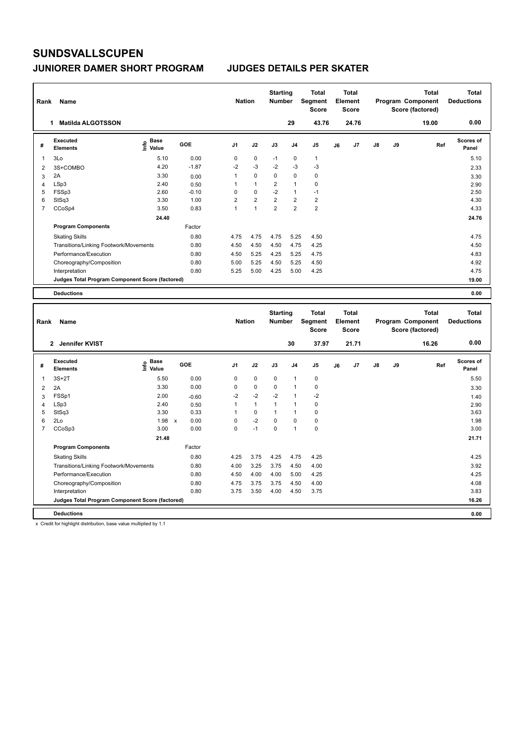### **JUNIORER DAMER SHORT PROGRAM JUDGES DETAILS PER SKATER**

| Rank           | Name                                            |                                             |         | <b>Nation</b>  |                | <b>Starting</b><br><b>Number</b> |                | <b>Total</b><br>Segment<br><b>Score</b> |    | <b>Total</b><br>Element<br><b>Score</b> |               |    | <b>Total</b><br>Program Component<br>Score (factored) | Total<br><b>Deductions</b> |
|----------------|-------------------------------------------------|---------------------------------------------|---------|----------------|----------------|----------------------------------|----------------|-----------------------------------------|----|-----------------------------------------|---------------|----|-------------------------------------------------------|----------------------------|
|                | <b>Matilda ALGOTSSON</b><br>1                   |                                             |         |                |                |                                  | 29             | 43.76                                   |    | 24.76                                   |               |    | 19.00                                                 | 0.00                       |
| #              | <b>Executed</b><br><b>Elements</b>              | <b>Base</b><br>은 <sup>Base</sup><br>트 Value | GOE     | J <sub>1</sub> | J2             | J3                               | J <sub>4</sub> | J5                                      | J6 | J7                                      | $\mathsf{J}8$ | J9 | Ref                                                   | Scores of<br>Panel         |
| 1              | 3Lo                                             | 5.10                                        | 0.00    | 0              | $\mathbf 0$    | $-1$                             | 0              | $\mathbf{1}$                            |    |                                         |               |    |                                                       | 5.10                       |
| 2              | 3S+COMBO                                        | 4.20                                        | $-1.87$ | $-2$           | $-3$           | $-2$                             | $-3$           | $-3$                                    |    |                                         |               |    |                                                       | 2.33                       |
| 3              | 2A                                              | 3.30                                        | 0.00    | 1              | $\Omega$       | $\Omega$                         | $\Omega$       | 0                                       |    |                                         |               |    |                                                       | 3.30                       |
| 4              | LSp3                                            | 2.40                                        | 0.50    | 1              | $\mathbf{1}$   | $\overline{2}$                   | $\mathbf{1}$   | $\pmb{0}$                               |    |                                         |               |    |                                                       | 2.90                       |
| 5              | FSSp3                                           | 2.60                                        | $-0.10$ | 0              | $\mathbf 0$    | $-2$                             | $\mathbf{1}$   | $-1$                                    |    |                                         |               |    |                                                       | 2.50                       |
| 6              | StSq3                                           | 3.30                                        | 1.00    | $\overline{2}$ | $\overline{2}$ | $\overline{2}$                   | $\overline{2}$ | $\overline{2}$                          |    |                                         |               |    |                                                       | 4.30                       |
| $\overline{7}$ | CCoSp4                                          | 3.50                                        | 0.83    | $\mathbf{1}$   | $\mathbf{1}$   | $\overline{2}$                   | $\overline{2}$ | $\overline{2}$                          |    |                                         |               |    |                                                       | 4.33                       |
|                |                                                 | 24.40                                       |         |                |                |                                  |                |                                         |    |                                         |               |    |                                                       | 24.76                      |
|                | <b>Program Components</b>                       |                                             | Factor  |                |                |                                  |                |                                         |    |                                         |               |    |                                                       |                            |
|                | <b>Skating Skills</b>                           |                                             | 0.80    | 4.75           | 4.75           | 4.75                             | 5.25           | 4.50                                    |    |                                         |               |    |                                                       | 4.75                       |
|                | Transitions/Linking Footwork/Movements          |                                             | 0.80    | 4.50           | 4.50           | 4.50                             | 4.75           | 4.25                                    |    |                                         |               |    |                                                       | 4.50                       |
|                | Performance/Execution                           |                                             | 0.80    | 4.50           | 5.25           | 4.25                             | 5.25           | 4.75                                    |    |                                         |               |    |                                                       | 4.83                       |
|                | Choreography/Composition                        |                                             | 0.80    | 5.00           | 5.25           | 4.50                             | 5.25           | 4.50                                    |    |                                         |               |    |                                                       | 4.92                       |
|                | Interpretation                                  |                                             | 0.80    | 5.25           | 5.00           | 4.25                             | 5.00           | 4.25                                    |    |                                         |               |    |                                                       | 4.75                       |
|                | Judges Total Program Component Score (factored) |                                             |         |                |                |                                  |                |                                         |    |                                         |               |    |                                                       | 19.00                      |
|                | <b>Deductions</b>                               |                                             |         |                |                |                                  |                |                                         |    |                                         |               |    |                                                       | 0.00                       |
|                |                                                 |                                             |         |                |                |                                  |                |                                         |    |                                         |               |    |                                                       |                            |
| Rank           | Name                                            |                                             |         | <b>Nation</b>  |                | <b>Starting</b><br><b>Number</b> |                | <b>Total</b><br>Segment<br><b>Score</b> |    | Total<br>Element<br><b>Score</b>        |               |    | <b>Total</b><br>Program Component<br>Score (factored) | Total<br><b>Deductions</b> |

|   | Jennifer KVIST<br>2                             |                       |            |                |              |      | 30   | 37.97       |    | 21.71          |               |    | 16.26 | 0.00                      |
|---|-------------------------------------------------|-----------------------|------------|----------------|--------------|------|------|-------------|----|----------------|---------------|----|-------|---------------------------|
| # | Executed<br><b>Elements</b>                     | Base<br>lnfo<br>Value | <b>GOE</b> | J <sub>1</sub> | J2           | J3   | J4   | J5          | J6 | J <sub>7</sub> | $\mathsf{J}8$ | J9 | Ref   | <b>Scores of</b><br>Panel |
|   | $3S+2T$                                         | 5.50                  | 0.00       | 0              | 0            | 0    | 1    | 0           |    |                |               |    |       | 5.50                      |
| 2 | 2A                                              | 3.30                  | 0.00       | 0              | $\mathbf 0$  | 0    |      | 0           |    |                |               |    |       | 3.30                      |
| 3 | FSSp1                                           | 2.00                  | $-0.60$    | $-2$           | $-2$         | $-2$ |      | $-2$        |    |                |               |    |       | 1.40                      |
| 4 | LSp3                                            | 2.40                  | 0.50       |                | $\mathbf{1}$ | 1    |      | 0           |    |                |               |    |       | 2.90                      |
| 5 | StSq3                                           | 3.30                  | 0.33       |                | 0            |      |      | 0           |    |                |               |    |       | 3.63                      |
| 6 | 2Lo                                             | 1.98                  | 0.00<br>X  | 0              | $-2$         | 0    | 0    | $\mathbf 0$ |    |                |               |    |       | 1.98                      |
|   | CCoSp3                                          | 3.00                  | 0.00       | 0              | $-1$         | 0    | 1    | $\mathbf 0$ |    |                |               |    |       | 3.00                      |
|   |                                                 | 21.48                 |            |                |              |      |      |             |    |                |               |    |       | 21.71                     |
|   | <b>Program Components</b>                       |                       | Factor     |                |              |      |      |             |    |                |               |    |       |                           |
|   | <b>Skating Skills</b>                           |                       | 0.80       | 4.25           | 3.75         | 4.25 | 4.75 | 4.25        |    |                |               |    |       | 4.25                      |
|   | Transitions/Linking Footwork/Movements          |                       | 0.80       | 4.00           | 3.25         | 3.75 | 4.50 | 4.00        |    |                |               |    |       | 3.92                      |
|   | Performance/Execution                           |                       | 0.80       | 4.50           | 4.00         | 4.00 | 5.00 | 4.25        |    |                |               |    |       | 4.25                      |
|   | Choreography/Composition                        |                       | 0.80       | 4.75           | 3.75         | 3.75 | 4.50 | 4.00        |    |                |               |    |       | 4.08                      |
|   | Interpretation                                  |                       | 0.80       | 3.75           | 3.50         | 4.00 | 4.50 | 3.75        |    |                |               |    |       | 3.83                      |
|   | Judges Total Program Component Score (factored) |                       |            |                |              |      |      |             |    |                |               |    |       | 16.26                     |
|   | <b>Deductions</b>                               |                       |            |                |              |      |      |             |    |                |               |    |       | 0.00                      |

x Credit for highlight distribution, base value multiplied by 1.1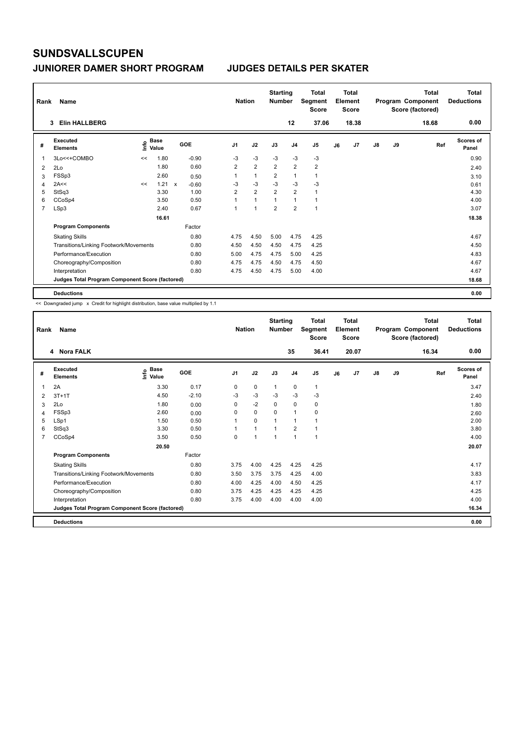| Rank           | Name                                            |      |                      |            |                | <b>Nation</b> |                | <b>Starting</b><br><b>Number</b> |                | <b>Total</b><br>Segment<br><b>Score</b> |    | Total<br>Element<br><b>Score</b> |               |    | Total<br>Program Component<br>Score (factored) | Total<br><b>Deductions</b> |
|----------------|-------------------------------------------------|------|----------------------|------------|----------------|---------------|----------------|----------------------------------|----------------|-----------------------------------------|----|----------------------------------|---------------|----|------------------------------------------------|----------------------------|
|                | <b>Elin HALLBERG</b><br>3                       |      |                      |            |                |               |                |                                  | 12             | 37.06                                   |    | 18.38                            |               |    | 18.68                                          | 0.00                       |
| #              | Executed<br><b>Elements</b>                     | lnfo | <b>Base</b><br>Value | <b>GOE</b> | J <sub>1</sub> |               | J2             | J3                               | J <sub>4</sub> | J <sub>5</sub>                          | J6 | J7                               | $\mathsf{J}8$ | J9 | Ref                                            | Scores of<br>Panel         |
| $\mathbf{1}$   | 3Lo<<+COMBO                                     | <<   | 1.80                 | $-0.90$    | -3             |               | $-3$           | $-3$                             | $-3$           | $-3$                                    |    |                                  |               |    |                                                | 0.90                       |
| 2              | 2Lo                                             |      | 1.80                 | 0.60       | $\overline{2}$ |               | $\overline{2}$ | $\overline{2}$                   | $\overline{2}$ | $\overline{2}$                          |    |                                  |               |    |                                                | 2.40                       |
| 3              | FSSp3                                           |      | 2.60                 | 0.50       |                |               | $\mathbf{1}$   | 2                                | $\mathbf{1}$   | 1                                       |    |                                  |               |    |                                                | 3.10                       |
| 4              | 2A<<                                            | <<   | 1.21 x               | $-0.60$    | -3             |               | $-3$           | $-3$                             | $-3$           | $-3$                                    |    |                                  |               |    |                                                | 0.61                       |
| 5              | StSq3                                           |      | 3.30                 | 1.00       | $\overline{2}$ |               | $\overline{2}$ | $\overline{2}$                   | $\overline{2}$ | $\mathbf{1}$                            |    |                                  |               |    |                                                | 4.30                       |
| 6              | CCoSp4                                          |      | 3.50                 | 0.50       | 1              |               | $\mathbf{1}$   | $\mathbf{1}$                     | $\mathbf{1}$   | $\mathbf{1}$                            |    |                                  |               |    |                                                | 4.00                       |
| $\overline{7}$ | LSp3                                            |      | 2.40                 | 0.67       | 1              |               | $\overline{1}$ | $\overline{2}$                   | $\overline{2}$ | $\overline{1}$                          |    |                                  |               |    |                                                | 3.07                       |
|                |                                                 |      | 16.61                |            |                |               |                |                                  |                |                                         |    |                                  |               |    |                                                | 18.38                      |
|                | <b>Program Components</b>                       |      |                      | Factor     |                |               |                |                                  |                |                                         |    |                                  |               |    |                                                |                            |
|                | <b>Skating Skills</b>                           |      |                      | 0.80       | 4.75           |               | 4.50           | 5.00                             | 4.75           | 4.25                                    |    |                                  |               |    |                                                | 4.67                       |
|                | Transitions/Linking Footwork/Movements          |      |                      | 0.80       | 4.50           |               | 4.50           | 4.50                             | 4.75           | 4.25                                    |    |                                  |               |    |                                                | 4.50                       |
|                | Performance/Execution                           |      |                      | 0.80       | 5.00           |               | 4.75           | 4.75                             | 5.00           | 4.25                                    |    |                                  |               |    |                                                | 4.83                       |
|                | Choreography/Composition                        |      |                      | 0.80       | 4.75           |               | 4.75           | 4.50                             | 4.75           | 4.50                                    |    |                                  |               |    |                                                | 4.67                       |
|                | Interpretation                                  |      |                      | 0.80       | 4.75           |               | 4.50           | 4.75                             | 5.00           | 4.00                                    |    |                                  |               |    |                                                | 4.67                       |
|                | Judges Total Program Component Score (factored) |      |                      |            |                |               |                |                                  |                |                                         |    |                                  |               |    |                                                | 18.68                      |
|                | <b>Deductions</b>                               |      |                      |            |                |               |                |                                  |                |                                         |    |                                  |               |    |                                                | 0.00                       |

| Rank           | Name                                            |                    |         | <b>Nation</b>  |              | <b>Starting</b><br><b>Number</b> |                | <b>Total</b><br>Segment<br><b>Score</b> |    | Total<br>Element<br><b>Score</b> |    |    | Total<br>Program Component<br>Score (factored) | <b>Total</b><br><b>Deductions</b> |
|----------------|-------------------------------------------------|--------------------|---------|----------------|--------------|----------------------------------|----------------|-----------------------------------------|----|----------------------------------|----|----|------------------------------------------------|-----------------------------------|
|                | 4 Nora FALK                                     |                    |         |                |              |                                  | 35             | 36.41                                   |    | 20.07                            |    |    | 16.34                                          | 0.00                              |
| #              | Executed<br><b>Elements</b>                     | $\frac{6}{5}$ Base | GOE     | J <sub>1</sub> | J2           | J3                               | J <sub>4</sub> | J5                                      | J6 | J <sub>7</sub>                   | J8 | J9 | Ref                                            | Scores of<br>Panel                |
| 1              | 2A                                              | 3.30               | 0.17    | 0              | 0            | $\mathbf{1}$                     | $\mathbf 0$    | $\mathbf{1}$                            |    |                                  |    |    |                                                | 3.47                              |
| 2              | $3T+1T$                                         | 4.50               | $-2.10$ | $-3$           | $-3$         | $-3$                             | $-3$           | $-3$                                    |    |                                  |    |    |                                                | 2.40                              |
| 3              | 2Lo                                             | 1.80               | 0.00    | 0              | $-2$         | 0                                | 0              | 0                                       |    |                                  |    |    |                                                | 1.80                              |
| 4              | FSSp3                                           | 2.60               | 0.00    | $\Omega$       | 0            | $\Omega$                         | $\mathbf{1}$   | 0                                       |    |                                  |    |    |                                                | 2.60                              |
| 5              | LSp1                                            | 1.50               | 0.50    | 1              | $\Omega$     | 1                                | $\mathbf{1}$   | 1                                       |    |                                  |    |    |                                                | 2.00                              |
| 6              | StSq3                                           | 3.30               | 0.50    |                | $\mathbf{1}$ | 1                                | $\overline{2}$ | 1                                       |    |                                  |    |    |                                                | 3.80                              |
| $\overline{7}$ | CCoSp4                                          | 3.50               | 0.50    | 0              | $\mathbf{1}$ | 1                                | $\mathbf{1}$   | 1                                       |    |                                  |    |    |                                                | 4.00                              |
|                |                                                 | 20.50              |         |                |              |                                  |                |                                         |    |                                  |    |    |                                                | 20.07                             |
|                | <b>Program Components</b>                       |                    | Factor  |                |              |                                  |                |                                         |    |                                  |    |    |                                                |                                   |
|                | <b>Skating Skills</b>                           |                    | 0.80    | 3.75           | 4.00         | 4.25                             | 4.25           | 4.25                                    |    |                                  |    |    |                                                | 4.17                              |
|                | Transitions/Linking Footwork/Movements          |                    | 0.80    | 3.50           | 3.75         | 3.75                             | 4.25           | 4.00                                    |    |                                  |    |    |                                                | 3.83                              |
|                | Performance/Execution                           |                    | 0.80    | 4.00           | 4.25         | 4.00                             | 4.50           | 4.25                                    |    |                                  |    |    |                                                | 4.17                              |
|                | Choreography/Composition                        |                    | 0.80    | 3.75           | 4.25         | 4.25                             | 4.25           | 4.25                                    |    |                                  |    |    |                                                | 4.25                              |
|                | Interpretation                                  |                    | 0.80    | 3.75           | 4.00         | 4.00                             | 4.00           | 4.00                                    |    |                                  |    |    |                                                | 4.00                              |
|                | Judges Total Program Component Score (factored) |                    |         |                |              |                                  |                |                                         |    |                                  |    |    |                                                | 16.34                             |
|                | <b>Deductions</b>                               |                    |         |                |              |                                  |                |                                         |    |                                  |    |    |                                                | 0.00                              |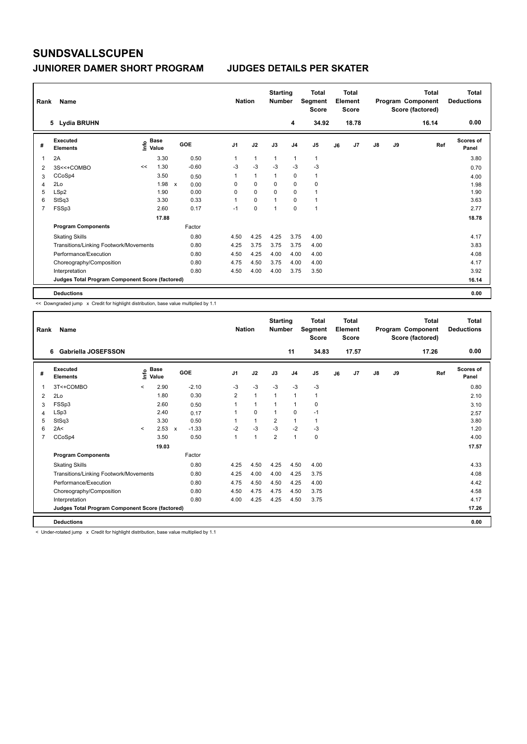### **JUNIORER DAMER SHORT PROGRAM JUDGES DETAILS PER SKATER**

| Rank           | Name                                            |                                  |              |         | <b>Nation</b>  |              | <b>Starting</b><br><b>Number</b> |                | <b>Total</b><br>Segment<br><b>Score</b> |    | Total<br>Element<br><b>Score</b> |               |    | <b>Total</b><br>Program Component<br>Score (factored) | <b>Total</b><br><b>Deductions</b> |
|----------------|-------------------------------------------------|----------------------------------|--------------|---------|----------------|--------------|----------------------------------|----------------|-----------------------------------------|----|----------------------------------|---------------|----|-------------------------------------------------------|-----------------------------------|
|                | 5 Lydia BRUHN                                   |                                  |              |         |                |              |                                  | 4              | 34.92                                   |    | 18.78                            |               |    | 16.14                                                 | 0.00                              |
| #              | Executed<br><b>Elements</b>                     | <b>Base</b><br>e Base<br>⊆ Value |              | GOE     | J <sub>1</sub> | J2           | J3                               | J <sub>4</sub> | J <sub>5</sub>                          | J6 | J7                               | $\mathsf{J}8$ | J9 | Ref                                                   | <b>Scores of</b><br>Panel         |
| 1              | 2A                                              | 3.30                             |              | 0.50    | 1              | $\mathbf{1}$ | $\overline{1}$                   | $\overline{1}$ | $\mathbf{1}$                            |    |                                  |               |    |                                                       | 3.80                              |
| 2              | 3S<<+COMBO                                      | 1.30<br><<                       |              | $-0.60$ | $-3$           | $-3$         | $-3$                             | $-3$           | $-3$                                    |    |                                  |               |    |                                                       | 0.70                              |
| 3              | CCoSp4                                          | 3.50                             |              | 0.50    | 1              | $\mathbf{1}$ | 1                                | $\mathbf 0$    | $\mathbf{1}$                            |    |                                  |               |    |                                                       | 4.00                              |
| 4              | 2Lo                                             | 1.98                             | $\mathsf{x}$ | 0.00    | 0              | $\mathbf 0$  | 0                                | $\mathbf 0$    | $\mathbf 0$                             |    |                                  |               |    |                                                       | 1.98                              |
| 5              | LSp2                                            | 1.90                             |              | 0.00    | 0              | $\Omega$     | $\Omega$                         | $\Omega$       |                                         |    |                                  |               |    |                                                       | 1.90                              |
| 6              | StSq3                                           | 3.30                             |              | 0.33    | 1              | $\mathbf 0$  | 1                                | $\mathbf 0$    | 1                                       |    |                                  |               |    |                                                       | 3.63                              |
| $\overline{7}$ | FSSp3                                           | 2.60                             |              | 0.17    | $-1$           | $\mathbf 0$  | 1                                | $\mathbf 0$    | 1                                       |    |                                  |               |    |                                                       | 2.77                              |
|                |                                                 | 17.88                            |              |         |                |              |                                  |                |                                         |    |                                  |               |    |                                                       | 18.78                             |
|                | <b>Program Components</b>                       |                                  |              | Factor  |                |              |                                  |                |                                         |    |                                  |               |    |                                                       |                                   |
|                | <b>Skating Skills</b>                           |                                  |              | 0.80    | 4.50           | 4.25         | 4.25                             | 3.75           | 4.00                                    |    |                                  |               |    |                                                       | 4.17                              |
|                | Transitions/Linking Footwork/Movements          |                                  |              | 0.80    | 4.25           | 3.75         | 3.75                             | 3.75           | 4.00                                    |    |                                  |               |    |                                                       | 3.83                              |
|                | Performance/Execution                           |                                  |              | 0.80    | 4.50           | 4.25         | 4.00                             | 4.00           | 4.00                                    |    |                                  |               |    |                                                       | 4.08                              |
|                | Choreography/Composition                        |                                  |              | 0.80    | 4.75           | 4.50         | 3.75                             | 4.00           | 4.00                                    |    |                                  |               |    |                                                       | 4.17                              |
|                | Interpretation                                  |                                  |              | 0.80    | 4.50           | 4.00         | 4.00                             | 3.75           | 3.50                                    |    |                                  |               |    |                                                       | 3.92                              |
|                | Judges Total Program Component Score (factored) |                                  |              |         |                |              |                                  |                |                                         |    |                                  |               |    |                                                       | 16.14                             |
|                | <b>Deductions</b>                               |                                  |              |         |                |              |                                  |                |                                         |    |                                  |               |    |                                                       | 0.00                              |

<< Downgraded jump x Credit for highlight distribution, base value multiplied by 1.1

| Rank | Name                                            |                          |                            |              |         |                | <b>Nation</b> |                      | <b>Starting</b><br><b>Number</b> |                | Total<br>Segment<br><b>Score</b> |    | Total<br>Element<br><b>Score</b> |               |    | Total<br>Program Component<br>Score (factored) | <b>Total</b><br><b>Deductions</b> |
|------|-------------------------------------------------|--------------------------|----------------------------|--------------|---------|----------------|---------------|----------------------|----------------------------------|----------------|----------------------------------|----|----------------------------------|---------------|----|------------------------------------------------|-----------------------------------|
|      | Gabriella JOSEFSSON<br>6                        |                          |                            |              |         |                |               |                      |                                  | 11             | 34.83                            |    | 17.57                            |               |    | 17.26                                          | 0.00                              |
| #    | Executed<br><b>Elements</b>                     |                          | $\sum_{k=1}^{\infty}$ Pase |              | GOE     | J <sub>1</sub> |               | J2                   | J3                               | J <sub>4</sub> | J5                               | J6 | J7                               | $\mathsf{J}8$ | J9 | Ref                                            | Scores of<br>Panel                |
| 1    | 3T<+COMBO                                       | $\prec$                  | 2.90                       |              | $-2.10$ | $-3$           |               | $-3$                 | $-3$                             | $-3$           | $-3$                             |    |                                  |               |    |                                                | 0.80                              |
| 2    | 2Lo                                             |                          | 1.80                       |              | 0.30    | $\overline{2}$ |               | $\mathbf{1}$         | 1                                | $\mathbf{1}$   | 1                                |    |                                  |               |    |                                                | 2.10                              |
| 3    | FSSp3                                           |                          | 2.60                       |              | 0.50    |                |               | $\mathbf{1}$         | 1                                | 1              | 0                                |    |                                  |               |    |                                                | 3.10                              |
| 4    | LSp3                                            |                          | 2.40                       |              | 0.17    |                |               | 0                    | 1                                | 0              | $-1$                             |    |                                  |               |    |                                                | 2.57                              |
| 5    | StSq3                                           |                          | 3.30                       |              | 0.50    |                |               | $\mathbf{1}$         | $\overline{2}$                   | $\mathbf{1}$   | 1                                |    |                                  |               |    |                                                | 3.80                              |
| 6    | 2A<                                             | $\overline{\phantom{a}}$ | 2.53                       | $\mathsf{x}$ | $-1.33$ | $-2$           |               | $-3$                 | $-3$                             | $-2$           | $-3$                             |    |                                  |               |    |                                                | 1.20                              |
| 7    | CCoSp4                                          |                          | 3.50                       |              | 0.50    | 1              |               | $\blacktriangleleft$ | $\overline{2}$                   | $\mathbf{1}$   | 0                                |    |                                  |               |    |                                                | 4.00                              |
|      |                                                 |                          | 19.03                      |              |         |                |               |                      |                                  |                |                                  |    |                                  |               |    |                                                | 17.57                             |
|      | <b>Program Components</b>                       |                          |                            |              | Factor  |                |               |                      |                                  |                |                                  |    |                                  |               |    |                                                |                                   |
|      | <b>Skating Skills</b>                           |                          |                            |              | 0.80    | 4.25           |               | 4.50                 | 4.25                             | 4.50           | 4.00                             |    |                                  |               |    |                                                | 4.33                              |
|      | Transitions/Linking Footwork/Movements          |                          |                            |              | 0.80    | 4.25           |               | 4.00                 | 4.00                             | 4.25           | 3.75                             |    |                                  |               |    |                                                | 4.08                              |
|      | Performance/Execution                           |                          |                            |              | 0.80    | 4.75           |               | 4.50                 | 4.50                             | 4.25           | 4.00                             |    |                                  |               |    |                                                | 4.42                              |
|      | Choreography/Composition                        |                          |                            |              | 0.80    | 4.50           |               | 4.75                 | 4.75                             | 4.50           | 3.75                             |    |                                  |               |    |                                                | 4.58                              |
|      | Interpretation                                  |                          |                            |              | 0.80    | 4.00           |               | 4.25                 | 4.25                             | 4.50           | 3.75                             |    |                                  |               |    |                                                | 4.17                              |
|      | Judges Total Program Component Score (factored) |                          |                            |              |         |                |               |                      |                                  |                |                                  |    |                                  |               |    |                                                | 17.26                             |
|      | <b>Deductions</b>                               |                          |                            |              |         |                |               |                      |                                  |                |                                  |    |                                  |               |    |                                                | 0.00                              |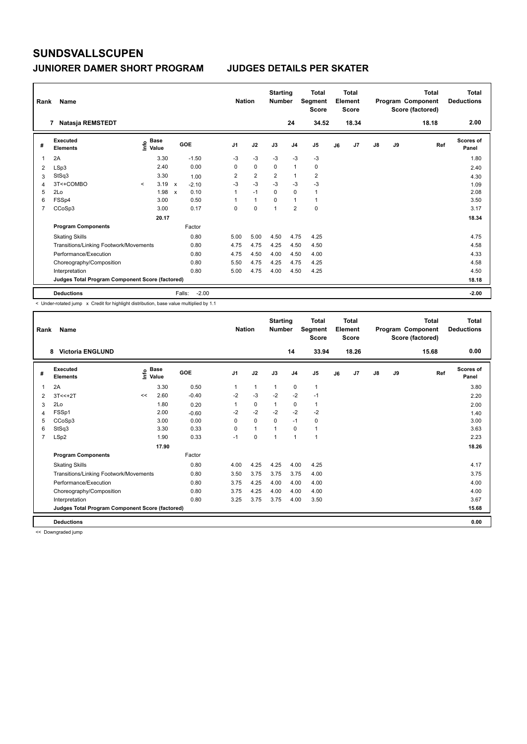### **JUNIORER DAMER SHORT PROGRAM JUDGES DETAILS PER SKATER**

| Rank | Name                                            |         |                                             |                           |                   | <b>Nation</b>  |                | <b>Starting</b><br><b>Number</b> |                | <b>Total</b><br>Segment<br><b>Score</b> |    | Total<br>Element<br><b>Score</b> |               |    | Total<br>Program Component<br>Score (factored) | Total<br><b>Deductions</b> |
|------|-------------------------------------------------|---------|---------------------------------------------|---------------------------|-------------------|----------------|----------------|----------------------------------|----------------|-----------------------------------------|----|----------------------------------|---------------|----|------------------------------------------------|----------------------------|
|      | Natasja REMSTEDT<br>7                           |         |                                             |                           |                   |                |                |                                  | 24             | 34.52                                   |    | 18.34                            |               |    | 18.18                                          | 2.00                       |
| #    | Executed<br><b>Elements</b>                     |         | <b>Base</b><br>e <sup>Base</sup><br>⊆ Value |                           | <b>GOE</b>        | J <sub>1</sub> | J2             | J3                               | J <sub>4</sub> | J <sub>5</sub>                          | J6 | J7                               | $\mathsf{J}8$ | J9 | Ref                                            | <b>Scores of</b><br>Panel  |
| 1    | 2A                                              |         | 3.30                                        |                           | $-1.50$           | $-3$           | $-3$           | $-3$                             | $-3$           | $-3$                                    |    |                                  |               |    |                                                | 1.80                       |
| 2    | LSp3                                            |         | 2.40                                        |                           | 0.00              | 0              | $\mathbf 0$    | 0                                | $\mathbf{1}$   | 0                                       |    |                                  |               |    |                                                | 2.40                       |
| 3    | StSq3                                           |         | 3.30                                        |                           | 1.00              | 2              | $\overline{2}$ | $\overline{\mathbf{c}}$          | $\overline{1}$ | $\overline{2}$                          |    |                                  |               |    |                                                | 4.30                       |
| 4    | 3T<+COMBO                                       | $\prec$ | 3.19                                        | $\mathsf{x}$              | $-2.10$           | $-3$           | $-3$           | $-3$                             | $-3$           | $-3$                                    |    |                                  |               |    |                                                | 1.09                       |
| 5    | 2Lo                                             |         | 1.98                                        | $\boldsymbol{\mathsf{x}}$ | 0.10              | 1              | $-1$           | 0                                | 0              | 1                                       |    |                                  |               |    |                                                | 2.08                       |
| 6    | FSSp4                                           |         | 3.00                                        |                           | 0.50              | 1              | $\mathbf{1}$   | 0                                | 1              | 1                                       |    |                                  |               |    |                                                | 3.50                       |
| 7    | CCoSp3                                          |         | 3.00                                        |                           | 0.17              | 0              | $\mathbf 0$    | $\overline{1}$                   | $\overline{2}$ | $\mathbf 0$                             |    |                                  |               |    |                                                | 3.17                       |
|      |                                                 |         | 20.17                                       |                           |                   |                |                |                                  |                |                                         |    |                                  |               |    |                                                | 18.34                      |
|      | <b>Program Components</b>                       |         |                                             |                           | Factor            |                |                |                                  |                |                                         |    |                                  |               |    |                                                |                            |
|      | <b>Skating Skills</b>                           |         |                                             |                           | 0.80              | 5.00           | 5.00           | 4.50                             | 4.75           | 4.25                                    |    |                                  |               |    |                                                | 4.75                       |
|      | Transitions/Linking Footwork/Movements          |         |                                             |                           | 0.80              | 4.75           | 4.75           | 4.25                             | 4.50           | 4.50                                    |    |                                  |               |    |                                                | 4.58                       |
|      | Performance/Execution                           |         |                                             |                           | 0.80              | 4.75           | 4.50           | 4.00                             | 4.50           | 4.00                                    |    |                                  |               |    |                                                | 4.33                       |
|      | Choreography/Composition                        |         |                                             |                           | 0.80              | 5.50           | 4.75           | 4.25                             | 4.75           | 4.25                                    |    |                                  |               |    |                                                | 4.58                       |
|      | Interpretation                                  |         |                                             |                           | 0.80              | 5.00           | 4.75           | 4.00                             | 4.50           | 4.25                                    |    |                                  |               |    |                                                | 4.50                       |
|      | Judges Total Program Component Score (factored) |         |                                             |                           |                   |                |                |                                  |                |                                         |    |                                  |               |    |                                                | 18.18                      |
|      | <b>Deductions</b>                               |         |                                             |                           | $-2.00$<br>Falls: |                |                |                                  |                |                                         |    |                                  |               |    |                                                | $-2.00$                    |

< Under-rotated jump x Credit for highlight distribution, base value multiplied by 1.1

| Rank           | Name                                            |                    |       |         | <b>Nation</b>  |              | <b>Starting</b><br><b>Number</b> |                | <b>Total</b><br>Segment<br><b>Score</b> |    | Total<br>Element<br><b>Score</b> |               |    | Total<br>Program Component<br>Score (factored) | <b>Total</b><br><b>Deductions</b> |
|----------------|-------------------------------------------------|--------------------|-------|---------|----------------|--------------|----------------------------------|----------------|-----------------------------------------|----|----------------------------------|---------------|----|------------------------------------------------|-----------------------------------|
|                | <b>Victoria ENGLUND</b><br>8                    |                    |       |         |                |              |                                  | 14             | 33.94                                   |    | 18.26                            |               |    | 15.68                                          | 0.00                              |
| #              | Executed<br><b>Elements</b>                     | $\frac{e}{E}$ Base |       | GOE     | J <sub>1</sub> | J2           | J3                               | J <sub>4</sub> | J5                                      | J6 | J <sub>7</sub>                   | $\mathsf{J}8$ | J9 | Ref                                            | Scores of<br>Panel                |
| 1              | 2A                                              |                    | 3.30  | 0.50    | 1              | $\mathbf{1}$ | 1                                | $\mathbf 0$    | $\mathbf{1}$                            |    |                                  |               |    |                                                | 3.80                              |
| 2              | $3T < +2T$                                      | <<                 | 2.60  | $-0.40$ | $-2$           | $-3$         | $-2$                             | $-2$           | $-1$                                    |    |                                  |               |    |                                                | 2.20                              |
| 3              | 2Lo                                             |                    | 1.80  | 0.20    |                | 0            | 1                                | 0              | 1                                       |    |                                  |               |    |                                                | 2.00                              |
| 4              | FSSp1                                           |                    | 2.00  | $-0.60$ | $-2$           | $-2$         | $-2$                             | $-2$           | $-2$                                    |    |                                  |               |    |                                                | 1.40                              |
| 5              | CCoSp3                                          |                    | 3.00  | 0.00    | 0              | $\Omega$     | $\Omega$                         | $-1$           | 0                                       |    |                                  |               |    |                                                | 3.00                              |
| 6              | StSq3                                           |                    | 3.30  | 0.33    | $\Omega$       | $\mathbf{1}$ |                                  | 0              | 1                                       |    |                                  |               |    |                                                | 3.63                              |
| $\overline{7}$ | LSp2                                            |                    | 1.90  | 0.33    | $-1$           | 0            | 1                                | $\mathbf{1}$   | 1                                       |    |                                  |               |    |                                                | 2.23                              |
|                |                                                 |                    | 17.90 |         |                |              |                                  |                |                                         |    |                                  |               |    |                                                | 18.26                             |
|                | <b>Program Components</b>                       |                    |       | Factor  |                |              |                                  |                |                                         |    |                                  |               |    |                                                |                                   |
|                | <b>Skating Skills</b>                           |                    |       | 0.80    | 4.00           | 4.25         | 4.25                             | 4.00           | 4.25                                    |    |                                  |               |    |                                                | 4.17                              |
|                | Transitions/Linking Footwork/Movements          |                    |       | 0.80    | 3.50           | 3.75         | 3.75                             | 3.75           | 4.00                                    |    |                                  |               |    |                                                | 3.75                              |
|                | Performance/Execution                           |                    |       | 0.80    | 3.75           | 4.25         | 4.00                             | 4.00           | 4.00                                    |    |                                  |               |    |                                                | 4.00                              |
|                | Choreography/Composition                        |                    |       | 0.80    | 3.75           | 4.25         | 4.00                             | 4.00           | 4.00                                    |    |                                  |               |    |                                                | 4.00                              |
|                | Interpretation                                  |                    |       | 0.80    | 3.25           | 3.75         | 3.75                             | 4.00           | 3.50                                    |    |                                  |               |    |                                                | 3.67                              |
|                | Judges Total Program Component Score (factored) |                    |       |         |                |              |                                  |                |                                         |    |                                  |               |    |                                                | 15.68                             |
|                | <b>Deductions</b>                               |                    |       |         |                |              |                                  |                |                                         |    |                                  |               |    |                                                | 0.00                              |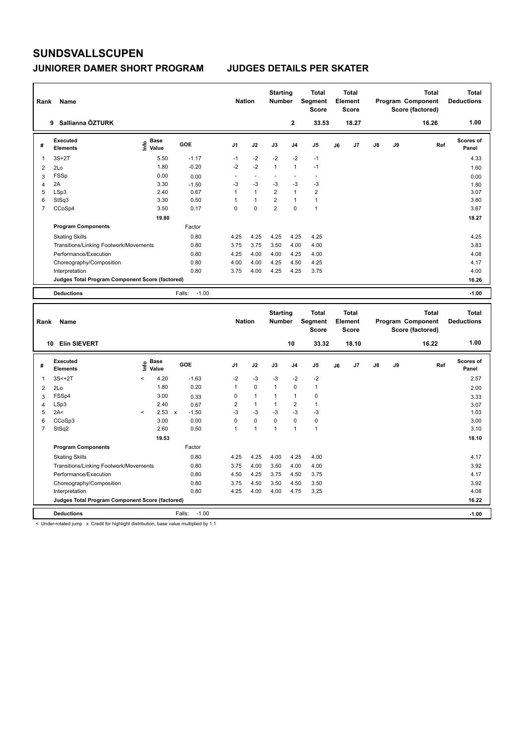| Rank           | Name                                            |                                  |                   | <b>Nation</b>            |                          | <b>Starting</b><br><b>Number</b> |                          | <b>Total</b><br>Segment<br><b>Score</b> |    | Total<br>Element<br><b>Score</b> |               |    | <b>Total</b><br>Program Component<br>Score (factored) | Total<br><b>Deductions</b> |
|----------------|-------------------------------------------------|----------------------------------|-------------------|--------------------------|--------------------------|----------------------------------|--------------------------|-----------------------------------------|----|----------------------------------|---------------|----|-------------------------------------------------------|----------------------------|
|                | Sallianna ÖZTURK<br>9                           |                                  |                   |                          |                          |                                  | $\mathbf{2}$             | 33.53                                   |    | 18.27                            |               |    | 16.26                                                 | 1.00                       |
| #              | Executed<br><b>Elements</b>                     | <b>Base</b><br>e Base<br>⊆ Value | GOE               | J <sub>1</sub>           | J2                       | J3                               | J <sub>4</sub>           | J <sub>5</sub>                          | J6 | J7                               | $\mathsf{J}8$ | J9 | Ref                                                   | Scores of<br>Panel         |
| 1              | $3S+2T$                                         | 5.50                             | $-1.17$           | $-1$                     | $-2$                     | $-2$                             | $-2$                     | $-1$                                    |    |                                  |               |    |                                                       | 4.33                       |
| $\overline{2}$ | 2Lo                                             | 1.80                             | $-0.20$           | $-2$                     | $-2$                     | $\mathbf{1}$                     | $\mathbf{1}$             | $-1$                                    |    |                                  |               |    |                                                       | 1.60                       |
| 3              | <b>FSSp</b>                                     | 0.00                             | 0.00              | $\overline{\phantom{a}}$ | $\overline{\phantom{a}}$ | $\overline{\phantom{a}}$         | $\overline{\phantom{a}}$ | $\overline{\phantom{a}}$                |    |                                  |               |    |                                                       | 0.00                       |
| 4              | 2A                                              | 3.30                             | $-1.50$           | $-3$                     | $-3$                     | $-3$                             | $-3$                     | $-3$                                    |    |                                  |               |    |                                                       | 1.80                       |
| 5              | LSp3                                            | 2.40                             | 0.67              | 1                        | $\mathbf{1}$             | $\overline{2}$                   | $\mathbf{1}$             | $\overline{2}$                          |    |                                  |               |    |                                                       | 3.07                       |
| 6              | StSq3                                           | 3.30                             | 0.50              | 1                        | $\mathbf{1}$             | $\overline{2}$                   | $\mathbf{1}$             | $\mathbf{1}$                            |    |                                  |               |    |                                                       | 3.80                       |
| 7              | CCoSp4                                          | 3.50                             | 0.17              | 0                        | $\mathbf 0$              | $\overline{2}$                   | $\mathbf 0$              | $\mathbf{1}$                            |    |                                  |               |    |                                                       | 3.67                       |
|                |                                                 | 19.80                            |                   |                          |                          |                                  |                          |                                         |    |                                  |               |    |                                                       | 18.27                      |
|                | <b>Program Components</b>                       |                                  | Factor            |                          |                          |                                  |                          |                                         |    |                                  |               |    |                                                       |                            |
|                | <b>Skating Skills</b>                           |                                  | 0.80              | 4.25                     | 4.25                     | 4.25                             | 4.25                     | 4.25                                    |    |                                  |               |    |                                                       | 4.25                       |
|                | Transitions/Linking Footwork/Movements          |                                  | 0.80              | 3.75                     | 3.75                     | 3.50                             | 4.00                     | 4.00                                    |    |                                  |               |    |                                                       | 3.83                       |
|                | Performance/Execution                           |                                  | 0.80              | 4.25                     | 4.00                     | 4.00                             | 4.25                     | 4.00                                    |    |                                  |               |    |                                                       | 4.08                       |
|                | Choreography/Composition                        |                                  | 0.80              | 4.00                     | 4.00                     | 4.25                             | 4.50                     | 4.25                                    |    |                                  |               |    |                                                       | 4.17                       |
|                | Interpretation                                  |                                  | 0.80              | 3.75                     | 4.00                     | 4.25                             | 4.25                     | 3.75                                    |    |                                  |               |    |                                                       | 4.00                       |
|                | Judges Total Program Component Score (factored) |                                  |                   |                          |                          |                                  |                          |                                         |    |                                  |               |    |                                                       | 16.26                      |
|                | <b>Deductions</b>                               |                                  | $-1.00$<br>Falls: |                          |                          |                                  |                          |                                         |    |                                  |               |    |                                                       | $-1.00$                    |
|                |                                                 |                                  |                   |                          |                          | <b>Starting</b>                  |                          | <b>Total</b>                            |    | <b>Total</b>                     |               |    | <b>Total</b>                                          | <b>Total</b>               |

| Rank           | Name                                            |         |                      |              |                   | <b>Nation</b>  |                | ətartırıy<br><b>Number</b> |                | τυιαι<br>Segment<br><b>Score</b> |    | τυιαι<br>Element<br><b>Score</b> |               |    | ιυιαι<br>Program Component<br>Score (factored) | πυιαι<br><b>Deductions</b> |
|----------------|-------------------------------------------------|---------|----------------------|--------------|-------------------|----------------|----------------|----------------------------|----------------|----------------------------------|----|----------------------------------|---------------|----|------------------------------------------------|----------------------------|
|                | <b>Elin SIEVERT</b><br>10                       |         |                      |              |                   |                |                |                            | 10             | 33.32                            |    | 18.10                            |               |    | 16.22                                          | 1.00                       |
| #              | Executed<br><b>Elements</b>                     | ١m      | <b>Base</b><br>Value |              | GOE               | J <sub>1</sub> | J2             | J3                         | J <sub>4</sub> | J <sub>5</sub>                   | J6 | J <sub>7</sub>                   | $\mathsf{J}8$ | J9 | Ref                                            | Scores of<br>Panel         |
| $\overline{1}$ | $3S<+2T$                                        | $\prec$ | 4.20                 |              | $-1.63$           | $-2$           | $-3$           | $-3$                       | $-2$           | $-2$                             |    |                                  |               |    |                                                | 2.57                       |
| 2              | 2Lo                                             |         | 1.80                 |              | 0.20              | 1              | $\mathbf 0$    |                            | $\mathbf 0$    | $\overline{1}$                   |    |                                  |               |    |                                                | 2.00                       |
| 3              | FSSp4                                           |         | 3.00                 |              | 0.33              | 0              | $\mathbf{1}$   |                            | $\mathbf{1}$   | 0                                |    |                                  |               |    |                                                | 3.33                       |
| 4              | LSp3                                            |         | 2.40                 |              | 0.67              | $\overline{2}$ | $\mathbf{1}$   |                            | $\overline{2}$ | $\mathbf{1}$                     |    |                                  |               |    |                                                | 3.07                       |
| 5              | 2A<                                             | $\prec$ | 2.53                 | $\mathsf{x}$ | $-1.50$           | $-3$           | $-3$           | $-3$                       | $-3$           | $-3$                             |    |                                  |               |    |                                                | 1.03                       |
| 6              | CCoSp3                                          |         | 3.00                 |              | 0.00              | 0              | $\mathbf 0$    | 0                          | $\mathbf 0$    | 0                                |    |                                  |               |    |                                                | 3.00                       |
| 7              | StSq2                                           |         | 2.60                 |              | 0.50              | 1              | $\overline{1}$ | 1                          | $\overline{1}$ | $\mathbf{1}$                     |    |                                  |               |    |                                                | 3.10                       |
|                |                                                 |         | 19.53                |              |                   |                |                |                            |                |                                  |    |                                  |               |    |                                                | 18.10                      |
|                | <b>Program Components</b>                       |         |                      |              | Factor            |                |                |                            |                |                                  |    |                                  |               |    |                                                |                            |
|                | <b>Skating Skills</b>                           |         |                      |              | 0.80              | 4.25           | 4.25           | 4.00                       | 4.25           | 4.00                             |    |                                  |               |    |                                                | 4.17                       |
|                | Transitions/Linking Footwork/Movements          |         |                      |              | 0.80              | 3.75           | 4.00           | 3.50                       | 4.00           | 4.00                             |    |                                  |               |    |                                                | 3.92                       |
|                | Performance/Execution                           |         |                      |              | 0.80              | 4.50           | 4.25           | 3.75                       | 4.50           | 3.75                             |    |                                  |               |    |                                                | 4.17                       |
|                | Choreography/Composition                        |         |                      |              | 0.80              | 3.75           | 4.50           | 3.50                       | 4.50           | 3.50                             |    |                                  |               |    |                                                | 3.92                       |
|                | Interpretation                                  |         |                      |              | 0.80              | 4.25           | 4.00           | 4.00                       | 4.75           | 3.25                             |    |                                  |               |    |                                                | 4.08                       |
|                | Judges Total Program Component Score (factored) |         |                      |              |                   |                |                |                            |                |                                  |    |                                  |               |    |                                                | 16.22                      |
|                | <b>Deductions</b>                               |         |                      |              | $-1.00$<br>Falls: |                |                |                            |                |                                  |    |                                  |               |    |                                                | $-1.00$                    |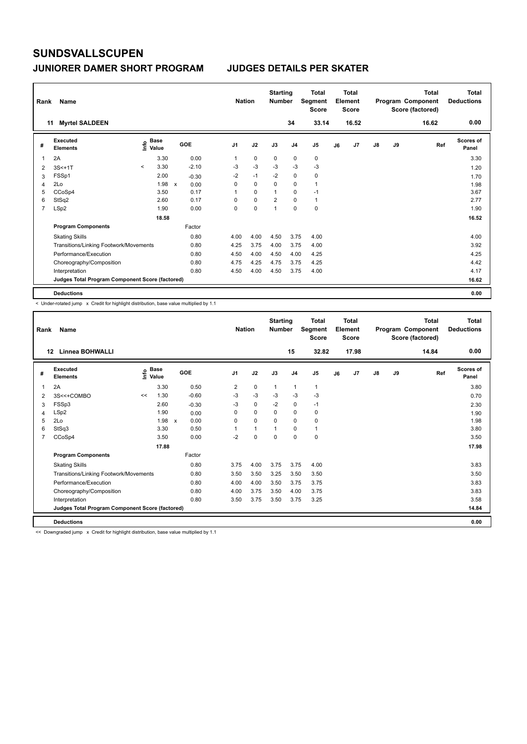| Rank           | Name                                            |         |                                  |              |         |                | <b>Nation</b> | <b>Starting</b><br><b>Number</b> |                | Total<br>Segment<br><b>Score</b> |    | <b>Total</b><br>Element<br><b>Score</b> |               |    | Total<br>Program Component<br>Score (factored) | <b>Total</b><br><b>Deductions</b> |
|----------------|-------------------------------------------------|---------|----------------------------------|--------------|---------|----------------|---------------|----------------------------------|----------------|----------------------------------|----|-----------------------------------------|---------------|----|------------------------------------------------|-----------------------------------|
|                | <b>Myrtel SALDEEN</b><br>11                     |         |                                  |              |         |                |               |                                  | 34             | 33.14                            |    | 16.52                                   |               |    | 16.62                                          | 0.00                              |
| #              | Executed<br><b>Elements</b>                     |         | <b>Base</b><br>e Base<br>⊆ Value | GOE          |         | J <sub>1</sub> | J2            | J3                               | J <sub>4</sub> | J <sub>5</sub>                   | J6 | J7                                      | $\mathsf{J}8$ | J9 | Ref                                            | Scores of<br>Panel                |
| 1              | 2A                                              |         | 3.30                             |              | 0.00    | 1              | $\mathbf 0$   | 0                                | 0              | 0                                |    |                                         |               |    |                                                | 3.30                              |
| 2              | $3S < +1T$                                      | $\prec$ | 3.30                             |              | $-2.10$ | -3             | $-3$          | $-3$                             | $-3$           | $-3$                             |    |                                         |               |    |                                                | 1.20                              |
| 3              | FSSp1                                           |         | 2.00                             |              | $-0.30$ | $-2$           | $-1$          | $-2$                             | 0              | 0                                |    |                                         |               |    |                                                | 1.70                              |
| 4              | 2Lo                                             |         | 1.98                             | $\mathsf{x}$ | 0.00    | 0              | $\mathbf 0$   | $\mathbf 0$                      | $\mathbf 0$    | $\mathbf{1}$                     |    |                                         |               |    |                                                | 1.98                              |
| 5              | CCoSp4                                          |         | 3.50                             |              | 0.17    | 1              | $\mathbf 0$   | $\overline{1}$                   | $\mathbf 0$    | $-1$                             |    |                                         |               |    |                                                | 3.67                              |
| 6              | StSq2                                           |         | 2.60                             |              | 0.17    | 0              | $\mathbf 0$   | $\overline{2}$                   | $\Omega$       | $\mathbf{1}$                     |    |                                         |               |    |                                                | 2.77                              |
| $\overline{7}$ | LSp2                                            |         | 1.90                             |              | 0.00    | 0              | $\mathbf 0$   | 1                                | $\mathbf 0$    | $\mathbf 0$                      |    |                                         |               |    |                                                | 1.90                              |
|                |                                                 |         | 18.58                            |              |         |                |               |                                  |                |                                  |    |                                         |               |    |                                                | 16.52                             |
|                | <b>Program Components</b>                       |         |                                  |              | Factor  |                |               |                                  |                |                                  |    |                                         |               |    |                                                |                                   |
|                | <b>Skating Skills</b>                           |         |                                  |              | 0.80    | 4.00           | 4.00          | 4.50                             | 3.75           | 4.00                             |    |                                         |               |    |                                                | 4.00                              |
|                | Transitions/Linking Footwork/Movements          |         |                                  |              | 0.80    | 4.25           | 3.75          | 4.00                             | 3.75           | 4.00                             |    |                                         |               |    |                                                | 3.92                              |
|                | Performance/Execution                           |         |                                  |              | 0.80    | 4.50           | 4.00          | 4.50                             | 4.00           | 4.25                             |    |                                         |               |    |                                                | 4.25                              |
|                | Choreography/Composition                        |         |                                  |              | 0.80    | 4.75           | 4.25          | 4.75                             | 3.75           | 4.25                             |    |                                         |               |    |                                                | 4.42                              |
|                | Interpretation                                  |         |                                  |              | 0.80    | 4.50           | 4.00          | 4.50                             | 3.75           | 4.00                             |    |                                         |               |    |                                                | 4.17                              |
|                | Judges Total Program Component Score (factored) |         |                                  |              |         |                |               |                                  |                |                                  |    |                                         |               |    |                                                | 16.62                             |
|                | <b>Deductions</b>                               |         |                                  |              |         |                |               |                                  |                |                                  |    |                                         |               |    |                                                | 0.00                              |

< Under-rotated jump x Credit for highlight distribution, base value multiplied by 1.1

| Rank         | Name                                            |    |                                           |     |         | <b>Nation</b>  |          | <b>Starting</b><br><b>Number</b> |                | Total<br>Segment<br><b>Score</b> |    | Total<br>Element<br><b>Score</b> |    |    | Total<br>Program Component<br>Score (factored) | <b>Total</b><br><b>Deductions</b> |
|--------------|-------------------------------------------------|----|-------------------------------------------|-----|---------|----------------|----------|----------------------------------|----------------|----------------------------------|----|----------------------------------|----|----|------------------------------------------------|-----------------------------------|
|              | Linnea BOHWALLI<br>12                           |    |                                           |     |         |                |          |                                  | 15             | 32.82                            |    | 17.98                            |    |    | 14.84                                          | 0.00                              |
| #            | Executed<br><b>Elements</b>                     |    | $\frac{e}{E}$ Base<br>$\frac{E}{E}$ Value | GOE |         | J <sub>1</sub> | J2       | J3                               | J <sub>4</sub> | J <sub>5</sub>                   | J6 | J <sub>7</sub>                   | J8 | J9 | Ref                                            | <b>Scores of</b><br>Panel         |
| $\mathbf{1}$ | 2A                                              |    | 3.30                                      |     | 0.50    | $\overline{2}$ | 0        | $\mathbf{1}$                     | $\mathbf{1}$   | $\mathbf{1}$                     |    |                                  |    |    |                                                | 3.80                              |
| 2            | 3S<<+COMBO                                      | << | 1.30                                      |     | $-0.60$ | $-3$           | $-3$     | $-3$                             | $-3$           | $-3$                             |    |                                  |    |    |                                                | 0.70                              |
| 3            | FSSp3                                           |    | 2.60                                      |     | $-0.30$ | $-3$           | 0        | $-2$                             | 0              | $-1$                             |    |                                  |    |    |                                                | 2.30                              |
| 4            | LSp2                                            |    | 1.90                                      |     | 0.00    | $\Omega$       | $\Omega$ | $\Omega$                         | $\mathbf 0$    | 0                                |    |                                  |    |    |                                                | 1.90                              |
| 5            | 2Lo                                             |    | $1.98 \times$                             |     | 0.00    | $\Omega$       | 0        | $\Omega$                         | $\mathbf 0$    | 0                                |    |                                  |    |    |                                                | 1.98                              |
| 6            | StSq3                                           |    | 3.30                                      |     | 0.50    |                | 1        | 1                                | $\Omega$       | 1                                |    |                                  |    |    |                                                | 3.80                              |
| 7            | CCoSp4                                          |    | 3.50                                      |     | 0.00    | $-2$           | 0        | $\Omega$                         | 0              | 0                                |    |                                  |    |    |                                                | 3.50                              |
|              |                                                 |    | 17.88                                     |     |         |                |          |                                  |                |                                  |    |                                  |    |    |                                                | 17.98                             |
|              | <b>Program Components</b>                       |    |                                           |     | Factor  |                |          |                                  |                |                                  |    |                                  |    |    |                                                |                                   |
|              | <b>Skating Skills</b>                           |    |                                           |     | 0.80    | 3.75           | 4.00     | 3.75                             | 3.75           | 4.00                             |    |                                  |    |    |                                                | 3.83                              |
|              | Transitions/Linking Footwork/Movements          |    |                                           |     | 0.80    | 3.50           | 3.50     | 3.25                             | 3.50           | 3.50                             |    |                                  |    |    |                                                | 3.50                              |
|              | Performance/Execution                           |    |                                           |     | 0.80    | 4.00           | 4.00     | 3.50                             | 3.75           | 3.75                             |    |                                  |    |    |                                                | 3.83                              |
|              | Choreography/Composition                        |    |                                           |     | 0.80    | 4.00           | 3.75     | 3.50                             | 4.00           | 3.75                             |    |                                  |    |    |                                                | 3.83                              |
|              | Interpretation                                  |    |                                           |     | 0.80    | 3.50           | 3.75     | 3.50                             | 3.75           | 3.25                             |    |                                  |    |    |                                                | 3.58                              |
|              | Judges Total Program Component Score (factored) |    |                                           |     |         |                |          |                                  |                |                                  |    |                                  |    |    |                                                | 14.84                             |
|              | <b>Deductions</b>                               |    |                                           |     |         |                |          |                                  |                |                                  |    |                                  |    |    |                                                | 0.00                              |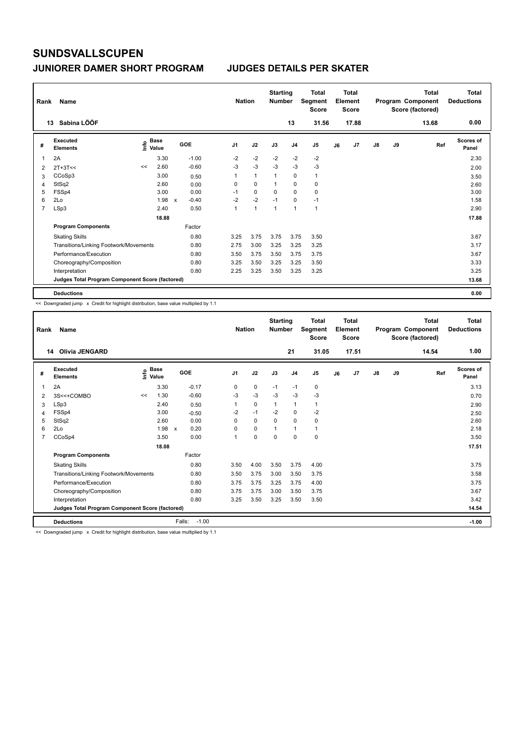| Rank | Name                                            |                   |       |              |         |                | <b>Nation</b> |              | <b>Starting</b><br><b>Number</b> |                | <b>Total</b><br>Segment<br><b>Score</b> |    | <b>Total</b><br>Element<br><b>Score</b> |               |    | Total<br>Program Component<br>Score (factored) | <b>Total</b><br><b>Deductions</b> |
|------|-------------------------------------------------|-------------------|-------|--------------|---------|----------------|---------------|--------------|----------------------------------|----------------|-----------------------------------------|----|-----------------------------------------|---------------|----|------------------------------------------------|-----------------------------------|
|      | Sabina LÖÖF<br>13                               |                   |       |              |         |                |               |              |                                  | 13             | 31.56                                   |    | 17.88                                   |               |    | 13.68                                          | 0.00                              |
| #    | <b>Executed</b><br><b>Elements</b>              | e Base<br>⊆ Value | Base  | GOE          |         | J <sub>1</sub> |               | J2           | J3                               | J <sub>4</sub> | J <sub>5</sub>                          | J6 | J <sub>7</sub>                          | $\mathsf{J}8$ | J9 | Ref                                            | <b>Scores of</b><br>Panel         |
| 1    | 2A                                              |                   | 3.30  |              | $-1.00$ | $-2$           |               | $-2$         | $-2$                             | $-2$           | $-2$                                    |    |                                         |               |    |                                                | 2.30                              |
| 2    | $2T+3T<<$                                       | <<                | 2.60  |              | $-0.60$ | $-3$           |               | $-3$         | $-3$                             | $-3$           | $-3$                                    |    |                                         |               |    |                                                | 2.00                              |
| 3    | CCoSp3                                          |                   | 3.00  |              | 0.50    | 1              |               | $\mathbf{1}$ | 1                                | 0              | $\mathbf{1}$                            |    |                                         |               |    |                                                | 3.50                              |
| 4    | StSq2                                           |                   | 2.60  |              | 0.00    | 0              |               | $\mathbf 0$  | 1                                | 0              | 0                                       |    |                                         |               |    |                                                | 2.60                              |
| 5    | FSSp4                                           |                   | 3.00  |              | 0.00    | $-1$           |               | $\mathbf 0$  | $\Omega$                         | $\Omega$       | $\mathbf 0$                             |    |                                         |               |    |                                                | 3.00                              |
| 6    | 2Lo                                             |                   | 1.98  | $\mathsf{x}$ | $-0.40$ | $-2$           |               | $-2$         | $-1$                             | 0              | $-1$                                    |    |                                         |               |    |                                                | 1.58                              |
| 7    | LSp3                                            |                   | 2.40  |              | 0.50    | 1              |               | 1            | 1                                | $\overline{1}$ | $\overline{1}$                          |    |                                         |               |    |                                                | 2.90                              |
|      |                                                 |                   | 18.88 |              |         |                |               |              |                                  |                |                                         |    |                                         |               |    |                                                | 17.88                             |
|      | <b>Program Components</b>                       |                   |       |              | Factor  |                |               |              |                                  |                |                                         |    |                                         |               |    |                                                |                                   |
|      | <b>Skating Skills</b>                           |                   |       |              | 0.80    | 3.25           |               | 3.75         | 3.75                             | 3.75           | 3.50                                    |    |                                         |               |    |                                                | 3.67                              |
|      | Transitions/Linking Footwork/Movements          |                   |       |              | 0.80    | 2.75           |               | 3.00         | 3.25                             | 3.25           | 3.25                                    |    |                                         |               |    |                                                | 3.17                              |
|      | Performance/Execution                           |                   |       |              | 0.80    | 3.50           |               | 3.75         | 3.50                             | 3.75           | 3.75                                    |    |                                         |               |    |                                                | 3.67                              |
|      | Choreography/Composition                        |                   |       |              | 0.80    | 3.25           |               | 3.50         | 3.25                             | 3.25           | 3.50                                    |    |                                         |               |    |                                                | 3.33                              |
|      | Interpretation                                  |                   |       |              | 0.80    | 2.25           |               | 3.25         | 3.50                             | 3.25           | 3.25                                    |    |                                         |               |    |                                                | 3.25                              |
|      | Judges Total Program Component Score (factored) |                   |       |              |         |                |               |              |                                  |                |                                         |    |                                         |               |    |                                                | 13.68                             |
|      | <b>Deductions</b>                               |                   |       |              |         |                |               |              |                                  |                |                                         |    |                                         |               |    |                                                | 0.00                              |

<< Downgraded jump x Credit for highlight distribution, base value multiplied by 1.1

| 1.00<br>31.05<br>17.51<br><b>Olivia JENGARD</b><br>21<br>14.54<br>14<br>$\frac{e}{E}$ Base<br>$\frac{e}{E}$ Value<br>Executed<br><b>Scores of</b><br>GOE<br>J2<br>J <sub>1</sub><br>J3<br>J <sub>4</sub><br>J9<br>J <sub>5</sub><br>J <sub>7</sub><br>$\mathsf{J}8$<br>Ref<br>J6<br>#<br><b>Elements</b><br>Panel<br>$\mathbf 0$<br>2A<br>3.30<br>$-0.17$<br>3.13<br>0<br>$-1$<br>$-1$<br>0<br>1<br>$-3$<br>$-3$<br>$-0.60$<br>$-3$<br>$-3$<br>$-3$<br>1.30<br>3S<<+COMBO<br><<<br>0.70<br>2<br>LSp3<br>$\mathbf 0$<br>2.40<br>1<br>1<br>1<br>0.50<br>3<br>2.90<br>$-1$<br>$-2$<br>FSSp4<br>3.00<br>$-2$<br>$-2$<br>$\mathbf 0$<br>$-0.50$<br>2.50<br>4<br>0.00<br>$\Omega$<br>$\Omega$<br>StSq2<br>2.60<br>0<br>$\Omega$<br>0<br>2.60<br>5<br>$\mathbf 0$<br>2Lo<br>1.98<br>0.20<br>1<br>2.18<br>0<br>6<br>1<br>$\mathsf{x}$<br>CCoSp4<br>3.50<br>0.00<br>$\mathbf 0$<br>$\Omega$<br>$\mathbf 0$<br>3.50<br>0<br>$\overline{7}$<br>$\overline{1}$<br>17.51<br>18.08<br>Factor<br><b>Program Components</b><br><b>Skating Skills</b><br>0.80<br>3.50<br>4.00<br>3.50<br>3.75<br>4.00<br>3.75<br>0.80<br>3.75<br>3.58<br>Transitions/Linking Footwork/Movements<br>3.50<br>3.00<br>3.50<br>3.75<br>Performance/Execution<br>3.75<br>0.80<br>3.75<br>3.75<br>3.25<br>3.75<br>4.00<br>3.67<br>Choreography/Composition<br>0.80<br>3.75<br>3.75<br>3.50<br>3.75<br>3.00<br>0.80<br>3.50<br>3.42<br>3.25<br>3.25<br>3.50<br>3.50<br>Interpretation<br>14.54<br>Judges Total Program Component Score (factored)<br>Falls:<br>$-1.00$<br><b>Deductions</b><br>$-1.00$ | Rank | Name |  |  | <b>Nation</b> | <b>Starting</b><br><b>Number</b> | <b>Total</b><br>Segment<br><b>Score</b> | <b>Total</b><br>Element<br><b>Score</b> |  | Total<br>Program Component<br>Score (factored) | <b>Total</b><br><b>Deductions</b> |
|----------------------------------------------------------------------------------------------------------------------------------------------------------------------------------------------------------------------------------------------------------------------------------------------------------------------------------------------------------------------------------------------------------------------------------------------------------------------------------------------------------------------------------------------------------------------------------------------------------------------------------------------------------------------------------------------------------------------------------------------------------------------------------------------------------------------------------------------------------------------------------------------------------------------------------------------------------------------------------------------------------------------------------------------------------------------------------------------------------------------------------------------------------------------------------------------------------------------------------------------------------------------------------------------------------------------------------------------------------------------------------------------------------------------------------------------------------------------------------------------------------------------------------------------------------------|------|------|--|--|---------------|----------------------------------|-----------------------------------------|-----------------------------------------|--|------------------------------------------------|-----------------------------------|
|                                                                                                                                                                                                                                                                                                                                                                                                                                                                                                                                                                                                                                                                                                                                                                                                                                                                                                                                                                                                                                                                                                                                                                                                                                                                                                                                                                                                                                                                                                                                                                |      |      |  |  |               |                                  |                                         |                                         |  |                                                |                                   |
|                                                                                                                                                                                                                                                                                                                                                                                                                                                                                                                                                                                                                                                                                                                                                                                                                                                                                                                                                                                                                                                                                                                                                                                                                                                                                                                                                                                                                                                                                                                                                                |      |      |  |  |               |                                  |                                         |                                         |  |                                                |                                   |
|                                                                                                                                                                                                                                                                                                                                                                                                                                                                                                                                                                                                                                                                                                                                                                                                                                                                                                                                                                                                                                                                                                                                                                                                                                                                                                                                                                                                                                                                                                                                                                |      |      |  |  |               |                                  |                                         |                                         |  |                                                |                                   |
|                                                                                                                                                                                                                                                                                                                                                                                                                                                                                                                                                                                                                                                                                                                                                                                                                                                                                                                                                                                                                                                                                                                                                                                                                                                                                                                                                                                                                                                                                                                                                                |      |      |  |  |               |                                  |                                         |                                         |  |                                                |                                   |
|                                                                                                                                                                                                                                                                                                                                                                                                                                                                                                                                                                                                                                                                                                                                                                                                                                                                                                                                                                                                                                                                                                                                                                                                                                                                                                                                                                                                                                                                                                                                                                |      |      |  |  |               |                                  |                                         |                                         |  |                                                |                                   |
|                                                                                                                                                                                                                                                                                                                                                                                                                                                                                                                                                                                                                                                                                                                                                                                                                                                                                                                                                                                                                                                                                                                                                                                                                                                                                                                                                                                                                                                                                                                                                                |      |      |  |  |               |                                  |                                         |                                         |  |                                                |                                   |
|                                                                                                                                                                                                                                                                                                                                                                                                                                                                                                                                                                                                                                                                                                                                                                                                                                                                                                                                                                                                                                                                                                                                                                                                                                                                                                                                                                                                                                                                                                                                                                |      |      |  |  |               |                                  |                                         |                                         |  |                                                |                                   |
|                                                                                                                                                                                                                                                                                                                                                                                                                                                                                                                                                                                                                                                                                                                                                                                                                                                                                                                                                                                                                                                                                                                                                                                                                                                                                                                                                                                                                                                                                                                                                                |      |      |  |  |               |                                  |                                         |                                         |  |                                                |                                   |
|                                                                                                                                                                                                                                                                                                                                                                                                                                                                                                                                                                                                                                                                                                                                                                                                                                                                                                                                                                                                                                                                                                                                                                                                                                                                                                                                                                                                                                                                                                                                                                |      |      |  |  |               |                                  |                                         |                                         |  |                                                |                                   |
|                                                                                                                                                                                                                                                                                                                                                                                                                                                                                                                                                                                                                                                                                                                                                                                                                                                                                                                                                                                                                                                                                                                                                                                                                                                                                                                                                                                                                                                                                                                                                                |      |      |  |  |               |                                  |                                         |                                         |  |                                                |                                   |
|                                                                                                                                                                                                                                                                                                                                                                                                                                                                                                                                                                                                                                                                                                                                                                                                                                                                                                                                                                                                                                                                                                                                                                                                                                                                                                                                                                                                                                                                                                                                                                |      |      |  |  |               |                                  |                                         |                                         |  |                                                |                                   |
|                                                                                                                                                                                                                                                                                                                                                                                                                                                                                                                                                                                                                                                                                                                                                                                                                                                                                                                                                                                                                                                                                                                                                                                                                                                                                                                                                                                                                                                                                                                                                                |      |      |  |  |               |                                  |                                         |                                         |  |                                                |                                   |
|                                                                                                                                                                                                                                                                                                                                                                                                                                                                                                                                                                                                                                                                                                                                                                                                                                                                                                                                                                                                                                                                                                                                                                                                                                                                                                                                                                                                                                                                                                                                                                |      |      |  |  |               |                                  |                                         |                                         |  |                                                |                                   |
|                                                                                                                                                                                                                                                                                                                                                                                                                                                                                                                                                                                                                                                                                                                                                                                                                                                                                                                                                                                                                                                                                                                                                                                                                                                                                                                                                                                                                                                                                                                                                                |      |      |  |  |               |                                  |                                         |                                         |  |                                                |                                   |
|                                                                                                                                                                                                                                                                                                                                                                                                                                                                                                                                                                                                                                                                                                                                                                                                                                                                                                                                                                                                                                                                                                                                                                                                                                                                                                                                                                                                                                                                                                                                                                |      |      |  |  |               |                                  |                                         |                                         |  |                                                |                                   |
|                                                                                                                                                                                                                                                                                                                                                                                                                                                                                                                                                                                                                                                                                                                                                                                                                                                                                                                                                                                                                                                                                                                                                                                                                                                                                                                                                                                                                                                                                                                                                                |      |      |  |  |               |                                  |                                         |                                         |  |                                                |                                   |
|                                                                                                                                                                                                                                                                                                                                                                                                                                                                                                                                                                                                                                                                                                                                                                                                                                                                                                                                                                                                                                                                                                                                                                                                                                                                                                                                                                                                                                                                                                                                                                |      |      |  |  |               |                                  |                                         |                                         |  |                                                |                                   |
|                                                                                                                                                                                                                                                                                                                                                                                                                                                                                                                                                                                                                                                                                                                                                                                                                                                                                                                                                                                                                                                                                                                                                                                                                                                                                                                                                                                                                                                                                                                                                                |      |      |  |  |               |                                  |                                         |                                         |  |                                                |                                   |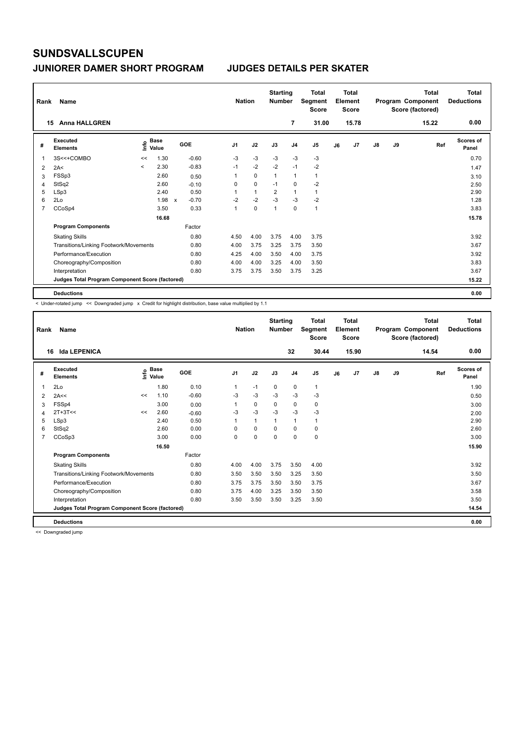| Rank           | Name                                            |         |                      |              |            | <b>Nation</b>  |              | <b>Starting</b><br><b>Number</b> |                | <b>Total</b><br>Segment<br><b>Score</b> |    | Total<br>Element<br><b>Score</b> |               |    | Total<br>Program Component<br>Score (factored) | Total<br><b>Deductions</b> |
|----------------|-------------------------------------------------|---------|----------------------|--------------|------------|----------------|--------------|----------------------------------|----------------|-----------------------------------------|----|----------------------------------|---------------|----|------------------------------------------------|----------------------------|
|                | <b>Anna HALLGREN</b><br>15                      |         |                      |              |            |                |              |                                  | $\overline{7}$ | 31.00                                   |    | 15.78                            |               |    | 15.22                                          | 0.00                       |
| #              | Executed<br><b>Elements</b>                     | Info    | <b>Base</b><br>Value |              | <b>GOE</b> | J <sub>1</sub> | J2           | J3                               | J <sub>4</sub> | J <sub>5</sub>                          | J6 | J7                               | $\mathsf{J}8$ | J9 | Ref                                            | Scores of<br>Panel         |
| $\mathbf{1}$   | 3S<<+COMBO                                      | <<      | 1.30                 |              | $-0.60$    | -3             | $-3$         | $-3$                             | $-3$           | $-3$                                    |    |                                  |               |    |                                                | 0.70                       |
| 2              | 2A<                                             | $\prec$ | 2.30                 |              | $-0.83$    | $-1$           | $-2$         | $-2$                             | $-1$           | $-2$                                    |    |                                  |               |    |                                                | 1.47                       |
| 3              | FSSp3                                           |         | 2.60                 |              | 0.50       |                | $\mathbf 0$  | 1                                | $\mathbf{1}$   | $\mathbf{1}$                            |    |                                  |               |    |                                                | 3.10                       |
| 4              | StSq2                                           |         | 2.60                 |              | $-0.10$    | 0              | $\mathbf 0$  | $-1$                             | $\mathbf 0$    | $-2$                                    |    |                                  |               |    |                                                | 2.50                       |
| 5              | LSp3                                            |         | 2.40                 |              | 0.50       | 1              | $\mathbf{1}$ | $\overline{2}$                   | $\mathbf{1}$   | $\mathbf{1}$                            |    |                                  |               |    |                                                | 2.90                       |
| 6              | 2Lo                                             |         | 1.98                 | $\mathsf{x}$ | $-0.70$    | $-2$           | $-2$         | $-3$                             | $-3$           | $-2$                                    |    |                                  |               |    |                                                | 1.28                       |
| $\overline{7}$ | CCoSp4                                          |         | 3.50                 |              | 0.33       | $\mathbf{1}$   | $\mathbf 0$  | $\mathbf{1}$                     | $\mathbf 0$    | $\mathbf{1}$                            |    |                                  |               |    |                                                | 3.83                       |
|                |                                                 |         | 16.68                |              |            |                |              |                                  |                |                                         |    |                                  |               |    |                                                | 15.78                      |
|                | <b>Program Components</b>                       |         |                      |              | Factor     |                |              |                                  |                |                                         |    |                                  |               |    |                                                |                            |
|                | <b>Skating Skills</b>                           |         |                      |              | 0.80       | 4.50           | 4.00         | 3.75                             | 4.00           | 3.75                                    |    |                                  |               |    |                                                | 3.92                       |
|                | Transitions/Linking Footwork/Movements          |         |                      |              | 0.80       | 4.00           | 3.75         | 3.25                             | 3.75           | 3.50                                    |    |                                  |               |    |                                                | 3.67                       |
|                | Performance/Execution                           |         |                      |              | 0.80       | 4.25           | 4.00         | 3.50                             | 4.00           | 3.75                                    |    |                                  |               |    |                                                | 3.92                       |
|                | Choreography/Composition                        |         |                      |              | 0.80       | 4.00           | 4.00         | 3.25                             | 4.00           | 3.50                                    |    |                                  |               |    |                                                | 3.83                       |
|                | Interpretation                                  |         |                      |              | 0.80       | 3.75           | 3.75         | 3.50                             | 3.75           | 3.25                                    |    |                                  |               |    |                                                | 3.67                       |
|                | Judges Total Program Component Score (factored) |         |                      |              |            |                |              |                                  |                |                                         |    |                                  |               |    |                                                | 15.22                      |
|                | <b>Deductions</b>                               |         |                      |              |            |                |              |                                  |                |                                         |    |                                  |               |    |                                                | 0.00                       |

< Under-rotated jump << Downgraded jump x Credit for highlight distribution, base value multiplied by 1.1

| Rank<br>16     | Name<br>Ida LEPENICA                            |    |                                           |         | <b>Nation</b>  |              | <b>Starting</b><br><b>Number</b> | 32             | <b>Total</b><br>Segment<br><b>Score</b><br>30.44 |    | <b>Total</b><br>Element<br><b>Score</b><br>15.90 |               |    | <b>Total</b><br>Program Component<br>Score (factored)<br>14.54 | Total<br><b>Deductions</b><br>0.00 |
|----------------|-------------------------------------------------|----|-------------------------------------------|---------|----------------|--------------|----------------------------------|----------------|--------------------------------------------------|----|--------------------------------------------------|---------------|----|----------------------------------------------------------------|------------------------------------|
| #              | Executed<br><b>Elements</b>                     |    | $\frac{e}{E}$ Base<br>$\frac{e}{E}$ Value | GOE     | J <sub>1</sub> | J2           | J3                               | J <sub>4</sub> | J <sub>5</sub>                                   | J6 | J7                                               | $\mathsf{J}8$ | J9 | Ref                                                            | Scores of<br>Panel                 |
| 1              | 2Lo                                             |    | 1.80                                      | 0.10    | 1              | $-1$         | $\mathbf 0$                      | $\mathbf 0$    | 1                                                |    |                                                  |               |    |                                                                | 1.90                               |
| 2              | 2A<<                                            | << | 1.10                                      | $-0.60$ | -3             | $-3$         | $-3$                             | $-3$           | $-3$                                             |    |                                                  |               |    |                                                                | 0.50                               |
| 3              | FSSp4                                           |    | 3.00                                      | 0.00    | 1              | 0            | $\Omega$                         | 0              | 0                                                |    |                                                  |               |    |                                                                | 3.00                               |
| 4              | $2T+3T<<$                                       | << | 2.60                                      | $-0.60$ | $-3$           | $-3$         | $-3$                             | $-3$           | $-3$                                             |    |                                                  |               |    |                                                                | 2.00                               |
| 5              | LSp3                                            |    | 2.40                                      | 0.50    | 1              | $\mathbf{1}$ | $\mathbf{1}$                     | $\mathbf{1}$   | 1                                                |    |                                                  |               |    |                                                                | 2.90                               |
| 6              | StSq2                                           |    | 2.60                                      | 0.00    | 0              | $\mathbf 0$  | 0                                | 0              | 0                                                |    |                                                  |               |    |                                                                | 2.60                               |
| $\overline{7}$ | CCoSp3                                          |    | 3.00                                      | 0.00    | 0              | $\mathbf 0$  | 0                                | $\mathbf 0$    | 0                                                |    |                                                  |               |    |                                                                | 3.00                               |
|                |                                                 |    | 16.50                                     |         |                |              |                                  |                |                                                  |    |                                                  |               |    |                                                                | 15.90                              |
|                | <b>Program Components</b>                       |    |                                           | Factor  |                |              |                                  |                |                                                  |    |                                                  |               |    |                                                                |                                    |
|                | <b>Skating Skills</b>                           |    |                                           | 0.80    | 4.00           | 4.00         | 3.75                             | 3.50           | 4.00                                             |    |                                                  |               |    |                                                                | 3.92                               |
|                | Transitions/Linking Footwork/Movements          |    |                                           | 0.80    | 3.50           | 3.50         | 3.50                             | 3.25           | 3.50                                             |    |                                                  |               |    |                                                                | 3.50                               |
|                | Performance/Execution                           |    |                                           | 0.80    | 3.75           | 3.75         | 3.50                             | 3.50           | 3.75                                             |    |                                                  |               |    |                                                                | 3.67                               |
|                | Choreography/Composition                        |    |                                           | 0.80    | 3.75           | 4.00         | 3.25                             | 3.50           | 3.50                                             |    |                                                  |               |    |                                                                | 3.58                               |
|                | Interpretation                                  |    |                                           | 0.80    | 3.50           | 3.50         | 3.50                             | 3.25           | 3.50                                             |    |                                                  |               |    |                                                                | 3.50                               |
|                | Judges Total Program Component Score (factored) |    |                                           |         |                |              |                                  |                |                                                  |    |                                                  |               |    |                                                                | 14.54                              |
|                | <b>Deductions</b>                               |    |                                           |         |                |              |                                  |                |                                                  |    |                                                  |               |    |                                                                | 0.00                               |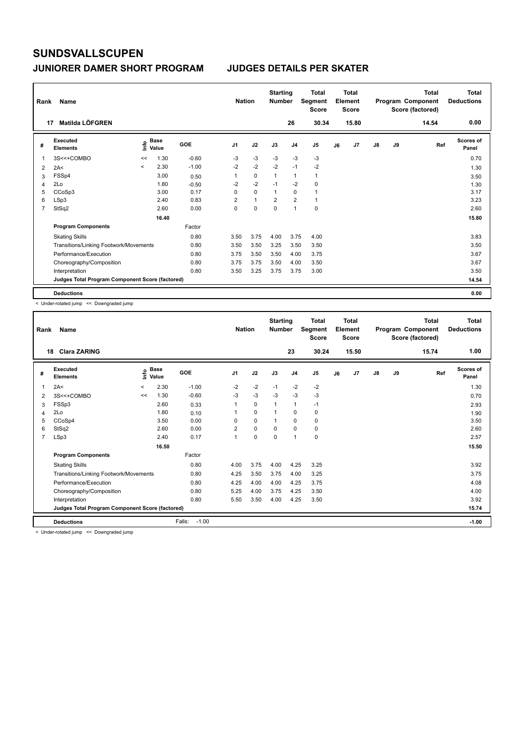| Rank           | Name                                            |         |                      |         | <b>Nation</b>  |              | <b>Starting</b><br><b>Number</b> |                | <b>Total</b><br>Segment<br><b>Score</b> |    | Total<br>Element<br><b>Score</b> |               |    | <b>Total</b><br>Program Component<br>Score (factored) | <b>Total</b><br><b>Deductions</b> |
|----------------|-------------------------------------------------|---------|----------------------|---------|----------------|--------------|----------------------------------|----------------|-----------------------------------------|----|----------------------------------|---------------|----|-------------------------------------------------------|-----------------------------------|
|                | Matilda LÖFGREN<br>17                           |         |                      |         |                |              |                                  | 26             | 30.34                                   |    | 15.80                            |               |    | 14.54                                                 | 0.00                              |
| #              | Executed<br><b>Elements</b>                     | Info    | <b>Base</b><br>Value | GOE     | J <sub>1</sub> | J2           | J3                               | J <sub>4</sub> | J <sub>5</sub>                          | J6 | J7                               | $\mathsf{J}8$ | J9 | Ref                                                   | <b>Scores of</b><br>Panel         |
| $\mathbf 1$    | 3S<<+COMBO                                      | <<      | 1.30                 | $-0.60$ | $-3$           | $-3$         | $-3$                             | -3             | -3                                      |    |                                  |               |    |                                                       | 0.70                              |
| $\overline{2}$ | 2A<                                             | $\prec$ | 2.30                 | $-1.00$ | $-2$           | $-2$         | $-2$                             | $-1$           | $-2$                                    |    |                                  |               |    |                                                       | 1.30                              |
| 3              | FSSp4                                           |         | 3.00                 | 0.50    |                | $\mathbf 0$  | $\overline{1}$                   | $\mathbf{1}$   | $\mathbf{1}$                            |    |                                  |               |    |                                                       | 3.50                              |
| 4              | 2Lo                                             |         | 1.80                 | $-0.50$ | $-2$           | $-2$         | $-1$                             | $-2$           | 0                                       |    |                                  |               |    |                                                       | 1.30                              |
| 5              | CCoSp3                                          |         | 3.00                 | 0.17    | 0              | $\mathbf 0$  | $\mathbf{1}$                     | $\mathbf 0$    | $\mathbf{1}$                            |    |                                  |               |    |                                                       | 3.17                              |
| 6              | LSp3                                            |         | 2.40                 | 0.83    | $\overline{2}$ | $\mathbf{1}$ | $\overline{2}$                   | $\overline{2}$ | $\mathbf{1}$                            |    |                                  |               |    |                                                       | 3.23                              |
| $\overline{7}$ | StSq2                                           |         | 2.60                 | 0.00    | 0              | $\mathbf 0$  | $\mathbf 0$                      | $\mathbf{1}$   | $\mathbf 0$                             |    |                                  |               |    |                                                       | 2.60                              |
|                |                                                 |         | 16.40                |         |                |              |                                  |                |                                         |    |                                  |               |    |                                                       | 15.80                             |
|                | <b>Program Components</b>                       |         |                      | Factor  |                |              |                                  |                |                                         |    |                                  |               |    |                                                       |                                   |
|                | <b>Skating Skills</b>                           |         |                      | 0.80    | 3.50           | 3.75         | 4.00                             | 3.75           | 4.00                                    |    |                                  |               |    |                                                       | 3.83                              |
|                | Transitions/Linking Footwork/Movements          |         |                      | 0.80    | 3.50           | 3.50         | 3.25                             | 3.50           | 3.50                                    |    |                                  |               |    |                                                       | 3.50                              |
|                | Performance/Execution                           |         |                      | 0.80    | 3.75           | 3.50         | 3.50                             | 4.00           | 3.75                                    |    |                                  |               |    |                                                       | 3.67                              |
|                | Choreography/Composition                        |         |                      | 0.80    | 3.75           | 3.75         | 3.50                             | 4.00           | 3.50                                    |    |                                  |               |    |                                                       | 3.67                              |
|                | Interpretation                                  |         |                      | 0.80    | 3.50           | 3.25         | 3.75                             | 3.75           | 3.00                                    |    |                                  |               |    |                                                       | 3.50                              |
|                | Judges Total Program Component Score (factored) |         |                      |         |                |              |                                  |                |                                         |    |                                  |               |    |                                                       | 14.54                             |
|                | <b>Deductions</b>                               |         |                      |         |                |              |                                  |                |                                         |    |                                  |               |    |                                                       | 0.00                              |

< Under-rotated jump << Downgraded jump

|                | Rank Name                                       |                          |                    |                   | <b>Nation</b>           |          | <b>Starting</b><br><b>Number</b> |                | <b>Total</b><br>Segment<br><b>Score</b> |    | Total<br>Element<br><b>Score</b> |               |    | Total<br>Program Component<br>Score (factored) | <b>Total</b><br><b>Deductions</b> |
|----------------|-------------------------------------------------|--------------------------|--------------------|-------------------|-------------------------|----------|----------------------------------|----------------|-----------------------------------------|----|----------------------------------|---------------|----|------------------------------------------------|-----------------------------------|
| 18             | <b>Clara ZARING</b>                             |                          |                    |                   |                         |          |                                  | 23             | 30.24                                   |    | 15.50                            |               |    | 15.74                                          | 1.00                              |
| #              | Executed<br><b>Elements</b>                     |                          | $\frac{e}{E}$ Base | GOE               | J <sub>1</sub>          | J2       | J3                               | J <sub>4</sub> | J <sub>5</sub>                          | J6 | J7                               | $\mathsf{J}8$ | J9 | Ref                                            | <b>Scores of</b><br>Panel         |
| 1              | 2A<                                             | $\overline{\phantom{0}}$ | 2.30               | $-1.00$           | $-2$                    | $-2$     | $-1$                             | $-2$           | $-2$                                    |    |                                  |               |    |                                                | 1.30                              |
| $\overline{2}$ | 3S<<+COMBO                                      | <<                       | 1.30               | $-0.60$           | $-3$                    | $-3$     | $-3$                             | $-3$           | $-3$                                    |    |                                  |               |    |                                                | 0.70                              |
| 3              | FSSp3                                           |                          | 2.60               | 0.33              | 1                       | 0        | 1                                | $\mathbf{1}$   | $-1$                                    |    |                                  |               |    |                                                | 2.93                              |
| 4              | 2Lo                                             |                          | 1.80               | 0.10              |                         | 0        | 1                                | $\mathbf 0$    | 0                                       |    |                                  |               |    |                                                | 1.90                              |
| 5              | CCoSp4                                          |                          | 3.50               | 0.00              | $\Omega$                | $\Omega$ | 1                                | $\Omega$       | 0                                       |    |                                  |               |    |                                                | 3.50                              |
| 6              | StSq2                                           |                          | 2.60               | 0.00              | $\overline{\mathbf{c}}$ | 0        | $\Omega$                         | $\mathbf 0$    | 0                                       |    |                                  |               |    |                                                | 2.60                              |
| $\overline{7}$ | LSp3                                            |                          | 2.40               | 0.17              | 1                       | $\Omega$ | $\Omega$                         | $\mathbf{1}$   | 0                                       |    |                                  |               |    |                                                | 2.57                              |
|                |                                                 |                          | 16.50              |                   |                         |          |                                  |                |                                         |    |                                  |               |    |                                                | 15.50                             |
|                | <b>Program Components</b>                       |                          |                    | Factor            |                         |          |                                  |                |                                         |    |                                  |               |    |                                                |                                   |
|                | <b>Skating Skills</b>                           |                          |                    | 0.80              | 4.00                    | 3.75     | 4.00                             | 4.25           | 3.25                                    |    |                                  |               |    |                                                | 3.92                              |
|                | Transitions/Linking Footwork/Movements          |                          |                    | 0.80              | 4.25                    | 3.50     | 3.75                             | 4.00           | 3.25                                    |    |                                  |               |    |                                                | 3.75                              |
|                | Performance/Execution                           |                          |                    | 0.80              | 4.25                    | 4.00     | 4.00                             | 4.25           | 3.75                                    |    |                                  |               |    |                                                | 4.08                              |
|                | Choreography/Composition                        |                          |                    | 0.80              | 5.25                    | 4.00     | 3.75                             | 4.25           | 3.50                                    |    |                                  |               |    |                                                | 4.00                              |
|                | Interpretation                                  |                          |                    | 0.80              | 5.50                    | 3.50     | 4.00                             | 4.25           | 3.50                                    |    |                                  |               |    |                                                | 3.92                              |
|                | Judges Total Program Component Score (factored) |                          |                    |                   |                         |          |                                  |                |                                         |    |                                  |               |    |                                                | 15.74                             |
|                | <b>Deductions</b><br>.                          |                          |                    | Falls:<br>$-1.00$ |                         |          |                                  |                |                                         |    |                                  |               |    |                                                | $-1.00$                           |

< Under-rotated jump << Downgraded jump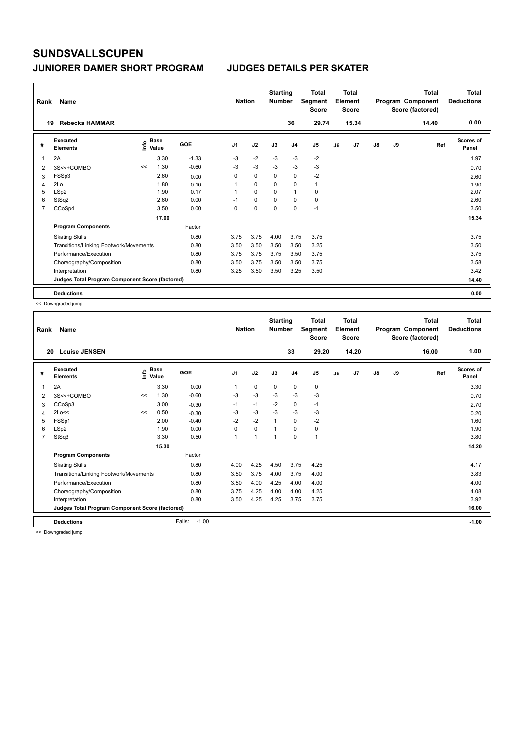| Rank           | Name                                            |    |                                  |         | <b>Nation</b>  |             | <b>Starting</b><br><b>Number</b> |                | <b>Total</b><br>Segment<br><b>Score</b> |    | <b>Total</b><br>Element<br><b>Score</b> |               |    | <b>Total</b><br>Program Component<br>Score (factored) | <b>Total</b><br><b>Deductions</b> |
|----------------|-------------------------------------------------|----|----------------------------------|---------|----------------|-------------|----------------------------------|----------------|-----------------------------------------|----|-----------------------------------------|---------------|----|-------------------------------------------------------|-----------------------------------|
|                | Rebecka HAMMAR<br>19                            |    |                                  |         |                |             |                                  | 36             | 29.74                                   |    | 15.34                                   |               |    | 14.40                                                 | 0.00                              |
| #              | Executed<br><b>Elements</b>                     |    | <b>Base</b><br>e Base<br>⊆ Value | GOE     | J <sub>1</sub> | J2          | J3                               | J <sub>4</sub> | J <sub>5</sub>                          | J6 | J <sub>7</sub>                          | $\mathsf{J}8$ | J9 | Ref                                                   | Scores of<br>Panel                |
| $\overline{1}$ | 2A                                              |    | 3.30                             | $-1.33$ | $-3$           | $-2$        | $-3$                             | $-3$           | $-2$                                    |    |                                         |               |    |                                                       | 1.97                              |
| 2              | 3S<<+COMBO                                      | << | 1.30                             | $-0.60$ | -3             | $-3$        | $-3$                             | $-3$           | $-3$                                    |    |                                         |               |    |                                                       | 0.70                              |
| 3              | FSSp3                                           |    | 2.60                             | 0.00    | 0              | $\mathbf 0$ | $\mathbf 0$                      | $\mathbf 0$    | $-2$                                    |    |                                         |               |    |                                                       | 2.60                              |
| 4              | 2Lo                                             |    | 1.80                             | 0.10    |                | 0           | 0                                | 0              | $\mathbf{1}$                            |    |                                         |               |    |                                                       | 1.90                              |
| 5              | LSp2                                            |    | 1.90                             | 0.17    | 1              | $\Omega$    | $\Omega$                         | $\overline{1}$ | 0                                       |    |                                         |               |    |                                                       | 2.07                              |
| 6              | StSq2                                           |    | 2.60                             | 0.00    | $-1$           | 0           | 0                                | 0              | $\mathbf 0$                             |    |                                         |               |    |                                                       | 2.60                              |
| $\overline{7}$ | CCoSp4                                          |    | 3.50                             | 0.00    | 0              | $\mathbf 0$ | 0                                | $\mathbf 0$    | $-1$                                    |    |                                         |               |    |                                                       | 3.50                              |
|                |                                                 |    | 17.00                            |         |                |             |                                  |                |                                         |    |                                         |               |    |                                                       | 15.34                             |
|                | <b>Program Components</b>                       |    |                                  | Factor  |                |             |                                  |                |                                         |    |                                         |               |    |                                                       |                                   |
|                | <b>Skating Skills</b>                           |    |                                  | 0.80    | 3.75           | 3.75        | 4.00                             | 3.75           | 3.75                                    |    |                                         |               |    |                                                       | 3.75                              |
|                | Transitions/Linking Footwork/Movements          |    |                                  | 0.80    | 3.50           | 3.50        | 3.50                             | 3.50           | 3.25                                    |    |                                         |               |    |                                                       | 3.50                              |
|                | Performance/Execution                           |    |                                  | 0.80    | 3.75           | 3.75        | 3.75                             | 3.50           | 3.75                                    |    |                                         |               |    |                                                       | 3.75                              |
|                | Choreography/Composition                        |    |                                  | 0.80    | 3.50           | 3.75        | 3.50                             | 3.50           | 3.75                                    |    |                                         |               |    |                                                       | 3.58                              |
|                | Interpretation                                  |    |                                  | 0.80    | 3.25           | 3.50        | 3.50                             | 3.25           | 3.50                                    |    |                                         |               |    |                                                       | 3.42                              |
|                | Judges Total Program Component Score (factored) |    |                                  |         |                |             |                                  |                |                                         |    |                                         |               |    |                                                       | 14.40                             |
|                | <b>Deductions</b>                               |    |                                  |         |                |             |                                  |                |                                         |    |                                         |               |    |                                                       | 0.00                              |

<< Downgraded jump

| Rank<br>20 | Name<br><b>Louise JENSEN</b>                    |    |                      |                   | <b>Nation</b>  |             | <b>Starting</b><br><b>Number</b> | 33             | <b>Total</b><br>Segment<br><b>Score</b><br>29.20 |    | <b>Total</b><br>Element<br><b>Score</b><br>14.20 |               |    | <b>Total</b><br>Program Component<br>Score (factored)<br>16.00 | <b>Total</b><br><b>Deductions</b><br>1.00 |
|------------|-------------------------------------------------|----|----------------------|-------------------|----------------|-------------|----------------------------------|----------------|--------------------------------------------------|----|--------------------------------------------------|---------------|----|----------------------------------------------------------------|-------------------------------------------|
|            |                                                 |    |                      |                   |                |             |                                  |                |                                                  |    |                                                  |               |    |                                                                |                                           |
| #          | Executed<br><b>Elements</b>                     | ۴٥ | <b>Base</b><br>Value | GOE               | J <sub>1</sub> | J2          | J3                               | J <sub>4</sub> | J <sub>5</sub>                                   | J6 | J <sub>7</sub>                                   | $\mathsf{J}8$ | J9 | Ref                                                            | <b>Scores of</b><br>Panel                 |
| 1          | 2A                                              |    | 3.30                 | 0.00              | 1              | $\mathbf 0$ | $\mathbf 0$                      | $\mathbf 0$    | 0                                                |    |                                                  |               |    |                                                                | 3.30                                      |
| 2          | 3S<<+COMBO                                      | << | 1.30                 | $-0.60$           | $-3$           | $-3$        | $-3$                             | $-3$           | $-3$                                             |    |                                                  |               |    |                                                                | 0.70                                      |
| 3          | CCoSp3                                          |    | 3.00                 | $-0.30$           | $-1$           | $-1$        | $-2$                             | 0              | $-1$                                             |    |                                                  |               |    |                                                                | 2.70                                      |
| 4          | 2Lo<<                                           | << | 0.50                 | $-0.30$           | $-3$           | $-3$        | $-3$                             | $-3$           | $-3$                                             |    |                                                  |               |    |                                                                | 0.20                                      |
| 5          | FSSp1                                           |    | 2.00                 | $-0.40$           | $-2$           | $-2$        |                                  | $\mathbf 0$    | $-2$                                             |    |                                                  |               |    |                                                                | 1.60                                      |
| 6          | LSp2                                            |    | 1.90                 | 0.00              | $\Omega$       | $\mathbf 0$ |                                  | $\Omega$       | 0                                                |    |                                                  |               |    |                                                                | 1.90                                      |
| 7          | StSq3                                           |    | 3.30                 | 0.50              | 1              | 1           | 1                                | $\Omega$       | $\mathbf{1}$                                     |    |                                                  |               |    |                                                                | 3.80                                      |
|            |                                                 |    | 15.30                |                   |                |             |                                  |                |                                                  |    |                                                  |               |    |                                                                | 14.20                                     |
|            | <b>Program Components</b>                       |    |                      | Factor            |                |             |                                  |                |                                                  |    |                                                  |               |    |                                                                |                                           |
|            | <b>Skating Skills</b>                           |    |                      | 0.80              | 4.00           | 4.25        | 4.50                             | 3.75           | 4.25                                             |    |                                                  |               |    |                                                                | 4.17                                      |
|            | Transitions/Linking Footwork/Movements          |    |                      | 0.80              | 3.50           | 3.75        | 4.00                             | 3.75           | 4.00                                             |    |                                                  |               |    |                                                                | 3.83                                      |
|            | Performance/Execution                           |    |                      | 0.80              | 3.50           | 4.00        | 4.25                             | 4.00           | 4.00                                             |    |                                                  |               |    |                                                                | 4.00                                      |
|            | Choreography/Composition                        |    |                      | 0.80              | 3.75           | 4.25        | 4.00                             | 4.00           | 4.25                                             |    |                                                  |               |    |                                                                | 4.08                                      |
|            | Interpretation                                  |    |                      | 0.80              | 3.50           | 4.25        | 4.25                             | 3.75           | 3.75                                             |    |                                                  |               |    |                                                                | 3.92                                      |
|            | Judges Total Program Component Score (factored) |    |                      |                   |                |             |                                  |                |                                                  |    |                                                  |               |    |                                                                | 16.00                                     |
|            | <b>Deductions</b>                               |    |                      | Falls:<br>$-1.00$ |                |             |                                  |                |                                                  |    |                                                  |               |    |                                                                | $-1.00$                                   |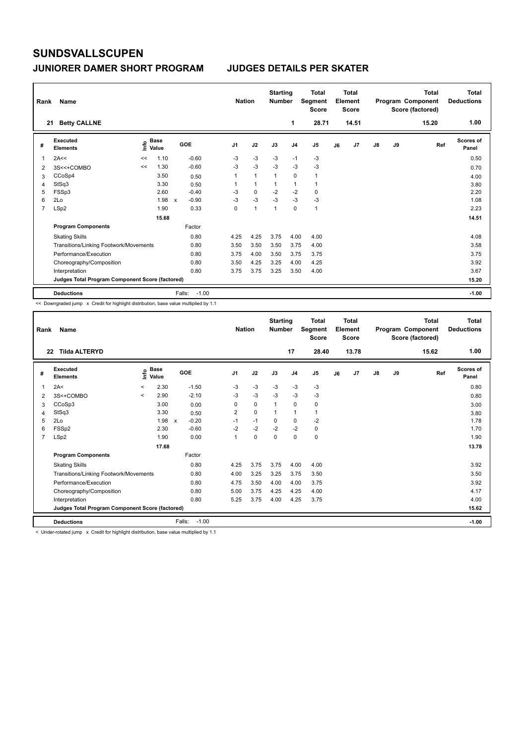| Rank | Name                                            |      |                      |                           |         | <b>Nation</b>  |                | <b>Starting</b><br><b>Number</b> |                | <b>Total</b><br>Segment<br><b>Score</b> |    | <b>Total</b><br>Element<br><b>Score</b> |               |    | <b>Total</b><br>Program Component<br>Score (factored) | <b>Total</b><br><b>Deductions</b> |
|------|-------------------------------------------------|------|----------------------|---------------------------|---------|----------------|----------------|----------------------------------|----------------|-----------------------------------------|----|-----------------------------------------|---------------|----|-------------------------------------------------------|-----------------------------------|
| 21   | <b>Betty CALLNE</b>                             |      |                      |                           |         |                |                |                                  | 1              | 28.71                                   |    | 14.51                                   |               |    | 15.20                                                 | 1.00                              |
| #    | Executed<br><b>Elements</b>                     | lnfo | <b>Base</b><br>Value |                           | GOE     | J <sub>1</sub> | J2             | J3                               | J <sub>4</sub> | J <sub>5</sub>                          | J6 | J <sub>7</sub>                          | $\mathsf{J}8$ | J9 | Ref                                                   | <b>Scores of</b><br>Panel         |
| 1    | 2A<<                                            | <<   | 1.10                 |                           | $-0.60$ | $-3$           | $-3$           | $-3$                             | $-1$           | $-3$                                    |    |                                         |               |    |                                                       | 0.50                              |
| 2    | 3S<<+COMBO                                      | <<   | 1.30                 |                           | $-0.60$ | $-3$           | $-3$           | $-3$                             | $-3$           | $-3$                                    |    |                                         |               |    |                                                       | 0.70                              |
| 3    | CCoSp4                                          |      | 3.50                 |                           | 0.50    | 1              | $\overline{1}$ | $\mathbf{1}$                     | $\mathbf 0$    | $\mathbf{1}$                            |    |                                         |               |    |                                                       | 4.00                              |
| 4    | StSq3                                           |      | 3.30                 |                           | 0.50    |                | $\overline{1}$ | $\mathbf{1}$                     | $\mathbf{1}$   | $\mathbf{1}$                            |    |                                         |               |    |                                                       | 3.80                              |
| 5    | FSSp3                                           |      | 2.60                 |                           | $-0.40$ | -3             | 0              | $-2$                             | $-2$           | 0                                       |    |                                         |               |    |                                                       | 2.20                              |
| 6    | 2Lo                                             |      | 1.98                 | $\boldsymbol{\mathsf{x}}$ | $-0.90$ | $-3$           | $-3$           | $-3$                             | $-3$           | $-3$                                    |    |                                         |               |    |                                                       | 1.08                              |
| 7    | LSp2                                            |      | 1.90                 |                           | 0.33    | 0              | $\overline{1}$ | $\overline{1}$                   | $\Omega$       | 1                                       |    |                                         |               |    |                                                       | 2.23                              |
|      |                                                 |      | 15.68                |                           |         |                |                |                                  |                |                                         |    |                                         |               |    |                                                       | 14.51                             |
|      | <b>Program Components</b>                       |      |                      |                           | Factor  |                |                |                                  |                |                                         |    |                                         |               |    |                                                       |                                   |
|      | <b>Skating Skills</b>                           |      |                      |                           | 0.80    | 4.25           | 4.25           | 3.75                             | 4.00           | 4.00                                    |    |                                         |               |    |                                                       | 4.08                              |
|      | Transitions/Linking Footwork/Movements          |      |                      |                           | 0.80    | 3.50           | 3.50           | 3.50                             | 3.75           | 4.00                                    |    |                                         |               |    |                                                       | 3.58                              |
|      | Performance/Execution                           |      |                      |                           | 0.80    | 3.75           | 4.00           | 3.50                             | 3.75           | 3.75                                    |    |                                         |               |    |                                                       | 3.75                              |
|      | Choreography/Composition                        |      |                      |                           | 0.80    | 3.50           | 4.25           | 3.25                             | 4.00           | 4.25                                    |    |                                         |               |    |                                                       | 3.92                              |
|      | Interpretation                                  |      |                      |                           | 0.80    | 3.75           | 3.75           | 3.25                             | 3.50           | 4.00                                    |    |                                         |               |    |                                                       | 3.67                              |
|      | Judges Total Program Component Score (factored) |      |                      |                           |         |                |                |                                  |                |                                         |    |                                         |               |    |                                                       | 15.20                             |
|      | <b>Deductions</b>                               |      |                      | Falls:                    | $-1.00$ |                |                |                                  |                |                                         |    |                                         |               |    |                                                       | $-1.00$                           |

<< Downgraded jump x Credit for highlight distribution, base value multiplied by 1.1

| Rank           | Name                                                                                                            |         |                            |                         | <b>Nation</b>  |             | <b>Starting</b><br><b>Number</b> |                | <b>Total</b><br>Segment<br>Score |    | Total<br>Element<br><b>Score</b> |    |    | Total<br>Program Component<br>Score (factored) | Total<br><b>Deductions</b> |
|----------------|-----------------------------------------------------------------------------------------------------------------|---------|----------------------------|-------------------------|----------------|-------------|----------------------------------|----------------|----------------------------------|----|----------------------------------|----|----|------------------------------------------------|----------------------------|
|                | <b>Tilda ALTERYD</b><br>22                                                                                      |         |                            |                         |                |             |                                  | 17             | 28.40                            |    | 13.78                            |    |    | 15.62                                          | 1.00                       |
| #              | Executed<br><b>Elements</b>                                                                                     |         | e Base<br>E Value<br>Value | GOE                     | J <sub>1</sub> | J2          | J3                               | J <sub>4</sub> | J <sub>5</sub>                   | J6 | J <sub>7</sub>                   | J8 | J9 | Ref                                            | <b>Scores of</b><br>Panel  |
|                | 2A<                                                                                                             | $\prec$ | 2.30                       | $-1.50$                 | $-3$           | $-3$        | $-3$                             | $-3$           | $-3$                             |    |                                  |    |    |                                                | 0.80                       |
| 2              | 3S<+COMBO                                                                                                       | $\prec$ | 2.90                       | $-2.10$                 | $-3$           | $-3$        | $-3$                             | $-3$           | $-3$                             |    |                                  |    |    |                                                | 0.80                       |
| 3              | CCoSp3                                                                                                          |         | 3.00                       | 0.00                    | 0              | $\mathbf 0$ |                                  | 0              | 0                                |    |                                  |    |    |                                                | 3.00                       |
| 4              | StSq3                                                                                                           |         | 3.30                       | 0.50                    | 2              | $\mathbf 0$ |                                  | 1              | 1                                |    |                                  |    |    |                                                | 3.80                       |
| 5              | 2Lo                                                                                                             |         | 1.98                       | $-0.20$<br>$\mathsf{x}$ | $-1$           | $-1$        | 0                                | 0              | $-2$                             |    |                                  |    |    |                                                | 1.78                       |
| 6              | FSSp2                                                                                                           |         | 2.30                       | $-0.60$                 | $-2$           | $-2$        | $-2$                             | $-2$           | 0                                |    |                                  |    |    |                                                | 1.70                       |
| $\overline{7}$ | LSp2                                                                                                            |         | 1.90                       | 0.00                    | 1              | $\Omega$    | $\Omega$                         | $\Omega$       | 0                                |    |                                  |    |    |                                                | 1.90                       |
|                |                                                                                                                 |         | 17.68                      |                         |                |             |                                  |                |                                  |    |                                  |    |    |                                                | 13.78                      |
|                | <b>Program Components</b>                                                                                       |         |                            | Factor                  |                |             |                                  |                |                                  |    |                                  |    |    |                                                |                            |
|                | <b>Skating Skills</b>                                                                                           |         |                            | 0.80                    | 4.25           | 3.75        | 3.75                             | 4.00           | 4.00                             |    |                                  |    |    |                                                | 3.92                       |
|                | Transitions/Linking Footwork/Movements                                                                          |         |                            | 0.80                    | 4.00           | 3.25        | 3.25                             | 3.75           | 3.50                             |    |                                  |    |    |                                                | 3.50                       |
|                | Performance/Execution                                                                                           |         |                            | 0.80                    | 4.75           | 3.50        | 4.00                             | 4.00           | 3.75                             |    |                                  |    |    |                                                | 3.92                       |
|                | Choreography/Composition                                                                                        |         |                            | 0.80                    | 5.00           | 3.75        | 4.25                             | 4.25           | 4.00                             |    |                                  |    |    |                                                | 4.17                       |
|                | Interpretation                                                                                                  |         |                            | 0.80                    | 5.25           | 3.75        | 4.00                             | 4.25           | 3.75                             |    |                                  |    |    |                                                | 4.00                       |
|                | Judges Total Program Component Score (factored)                                                                 |         |                            |                         |                |             |                                  |                |                                  |    |                                  |    |    |                                                | 15.62                      |
|                | <b>Deductions</b>                                                                                               |         |                            | Falls:<br>$-1.00$       |                |             |                                  |                |                                  |    |                                  |    |    |                                                | $-1.00$                    |
|                | The decoration of these in the Western are administrated distributions in the control territorial and any of or |         |                            |                         |                |             |                                  |                |                                  |    |                                  |    |    |                                                |                            |

Inder-rotated jump  $\,$  x  $\,$  Credit for highlight distribution, base value multiplied by 1.1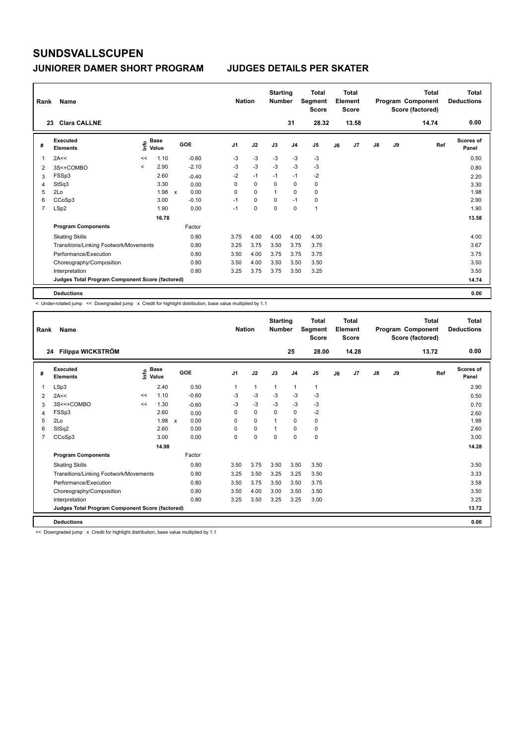| Rank           | Name                                            |         |                      |              |         |                | <b>Nation</b> |             | <b>Starting</b><br><b>Number</b> |                | <b>Total</b><br>Segment<br><b>Score</b> |    | <b>Total</b><br>Element<br><b>Score</b> |               |    | <b>Total</b><br>Program Component<br>Score (factored) | <b>Total</b><br><b>Deductions</b> |
|----------------|-------------------------------------------------|---------|----------------------|--------------|---------|----------------|---------------|-------------|----------------------------------|----------------|-----------------------------------------|----|-----------------------------------------|---------------|----|-------------------------------------------------------|-----------------------------------|
|                | <b>Clara CALLNE</b><br>23                       |         |                      |              |         |                |               |             |                                  | 31             | 28.32                                   |    | 13.58                                   |               |    | 14.74                                                 | 0.00                              |
| #              | Executed<br><b>Elements</b>                     | lnfo    | <b>Base</b><br>Value |              | GOE     | J <sub>1</sub> |               | J2          | J3                               | J <sub>4</sub> | J <sub>5</sub>                          | J6 | J7                                      | $\mathsf{J}8$ | J9 | Ref                                                   | Scores of<br>Panel                |
| 1              | 2A<<                                            | <<      | 1.10                 |              | $-0.60$ | -3             |               | $-3$        | $-3$                             | -3             | $-3$                                    |    |                                         |               |    |                                                       | 0.50                              |
| 2              | 3S<+COMBO                                       | $\prec$ | 2.90                 |              | $-2.10$ | $-3$           |               | $-3$        | $-3$                             | $-3$           | $-3$                                    |    |                                         |               |    |                                                       | 0.80                              |
| 3              | FSSp3                                           |         | 2.60                 |              | $-0.40$ | $-2$           |               | $-1$        | $-1$                             | $-1$           | $-2$                                    |    |                                         |               |    |                                                       | 2.20                              |
| 4              | StSq3                                           |         | 3.30                 |              | 0.00    | 0              |               | $\mathbf 0$ | 0                                | $\mathbf 0$    | $\mathbf 0$                             |    |                                         |               |    |                                                       | 3.30                              |
| 5              | 2Lo                                             |         | 1.98                 | $\mathsf{x}$ | 0.00    | 0              |               | $\Omega$    | $\overline{1}$                   | $\Omega$       | 0                                       |    |                                         |               |    |                                                       | 1.98                              |
| 6              | CCoSp3                                          |         | 3.00                 |              | $-0.10$ | $-1$           |               | $\mathbf 0$ | 0                                | $-1$           | 0                                       |    |                                         |               |    |                                                       | 2.90                              |
| $\overline{7}$ | LSp2                                            |         | 1.90                 |              | 0.00    | $-1$           |               | $\mathbf 0$ | $\mathbf 0$                      | $\mathbf 0$    | $\mathbf{1}$                            |    |                                         |               |    |                                                       | 1.90                              |
|                |                                                 |         | 16.78                |              |         |                |               |             |                                  |                |                                         |    |                                         |               |    |                                                       | 13.58                             |
|                | <b>Program Components</b>                       |         |                      |              | Factor  |                |               |             |                                  |                |                                         |    |                                         |               |    |                                                       |                                   |
|                | <b>Skating Skills</b>                           |         |                      |              | 0.80    | 3.75           |               | 4.00        | 4.00                             | 4.00           | 4.00                                    |    |                                         |               |    |                                                       | 4.00                              |
|                | Transitions/Linking Footwork/Movements          |         |                      |              | 0.80    | 3.25           |               | 3.75        | 3.50                             | 3.75           | 3.75                                    |    |                                         |               |    |                                                       | 3.67                              |
|                | Performance/Execution                           |         |                      |              | 0.80    | 3.50           |               | 4.00        | 3.75                             | 3.75           | 3.75                                    |    |                                         |               |    |                                                       | 3.75                              |
|                | Choreography/Composition                        |         |                      |              | 0.80    | 3.50           |               | 4.00        | 3.50                             | 3.50           | 3.50                                    |    |                                         |               |    |                                                       | 3.50                              |
|                | Interpretation                                  |         |                      |              | 0.80    | 3.25           |               | 3.75        | 3.75                             | 3.50           | 3.25                                    |    |                                         |               |    |                                                       | 3.50                              |
|                | Judges Total Program Component Score (factored) |         |                      |              |         |                |               |             |                                  |                |                                         |    |                                         |               |    |                                                       | 14.74                             |
|                | <b>Deductions</b>                               |         |                      |              |         |                |               |             |                                  |                |                                         |    |                                         |               |    |                                                       | 0.00                              |

< Under-rotated jump << Downgraded jump x Credit for highlight distribution, base value multiplied by 1.1

| Rank | Name                                            |    |                                  |              |         |                | <b>Nation</b> | <b>Starting</b><br><b>Number</b> |                | <b>Total</b><br>Segment<br><b>Score</b> |    | <b>Total</b><br>Element<br><b>Score</b> |    |    | <b>Total</b><br>Program Component<br>Score (factored) | <b>Total</b><br><b>Deductions</b> |
|------|-------------------------------------------------|----|----------------------------------|--------------|---------|----------------|---------------|----------------------------------|----------------|-----------------------------------------|----|-----------------------------------------|----|----|-------------------------------------------------------|-----------------------------------|
|      | Filippa WICKSTRÖM<br>24                         |    |                                  |              |         |                |               |                                  | 25             | 28.00                                   |    | 14.28                                   |    |    | 13.72                                                 | 0.00                              |
| #    | Executed<br><b>Elements</b>                     |    | <b>Base</b><br>e Base<br>⊆ Value |              | GOE     | J <sub>1</sub> | J2            | J3                               | J <sub>4</sub> | J <sub>5</sub>                          | J6 | J <sub>7</sub>                          | J8 | J9 | Ref                                                   | <b>Scores of</b><br>Panel         |
| 1    | LSp3                                            |    | 2.40                             |              | 0.50    |                | $\mathbf{1}$  | 1                                | $\mathbf{1}$   | 1                                       |    |                                         |    |    |                                                       | 2.90                              |
| 2    | 2A<<                                            | << | 1.10                             |              | $-0.60$ | $-3$           | $-3$          | $-3$                             | $-3$           | $-3$                                    |    |                                         |    |    |                                                       | 0.50                              |
| 3    | 3S<<+COMBO                                      | << | 1.30                             |              | $-0.60$ | $-3$           | $-3$          | $-3$                             | $-3$           | $-3$                                    |    |                                         |    |    |                                                       | 0.70                              |
| 4    | FSSp3                                           |    | 2.60                             |              | 0.00    | 0              | $\mathbf 0$   | $\mathbf 0$                      | $\mathbf 0$    | $-2$                                    |    |                                         |    |    |                                                       | 2.60                              |
| 5    | 2Lo                                             |    | 1.98                             | $\mathsf{x}$ | 0.00    | 0              | $\mathbf 0$   |                                  | 0              | 0                                       |    |                                         |    |    |                                                       | 1.98                              |
| 6    | StSq2                                           |    | 2.60                             |              | 0.00    | 0              | $\mathbf 0$   |                                  | 0              | 0                                       |    |                                         |    |    |                                                       | 2.60                              |
| 7    | CCoSp3                                          |    | 3.00                             |              | 0.00    | $\Omega$       | $\mathbf 0$   | $\Omega$                         | $\mathbf 0$    | 0                                       |    |                                         |    |    |                                                       | 3.00                              |
|      |                                                 |    | 14.98                            |              |         |                |               |                                  |                |                                         |    |                                         |    |    |                                                       | 14.28                             |
|      | <b>Program Components</b>                       |    |                                  |              | Factor  |                |               |                                  |                |                                         |    |                                         |    |    |                                                       |                                   |
|      | <b>Skating Skills</b>                           |    |                                  |              | 0.80    | 3.50           | 3.75          | 3.50                             | 3.50           | 3.50                                    |    |                                         |    |    |                                                       | 3.50                              |
|      | Transitions/Linking Footwork/Movements          |    |                                  |              | 0.80    | 3.25           | 3.50          | 3.25                             | 3.25           | 3.50                                    |    |                                         |    |    |                                                       | 3.33                              |
|      | Performance/Execution                           |    |                                  |              | 0.80    | 3.50           | 3.75          | 3.50                             | 3.50           | 3.75                                    |    |                                         |    |    |                                                       | 3.58                              |
|      | Choreography/Composition                        |    |                                  |              | 0.80    | 3.50           | 4.00          | 3.00                             | 3.50           | 3.50                                    |    |                                         |    |    |                                                       | 3.50                              |
|      | Interpretation                                  |    |                                  |              | 0.80    | 3.25           | 3.50          | 3.25                             | 3.25           | 3.00                                    |    |                                         |    |    |                                                       | 3.25                              |
|      | Judges Total Program Component Score (factored) |    |                                  |              |         |                |               |                                  |                |                                         |    |                                         |    |    |                                                       | 13.72                             |
|      | <b>Deductions</b>                               |    |                                  |              |         |                |               |                                  |                |                                         |    |                                         |    |    |                                                       | 0.00                              |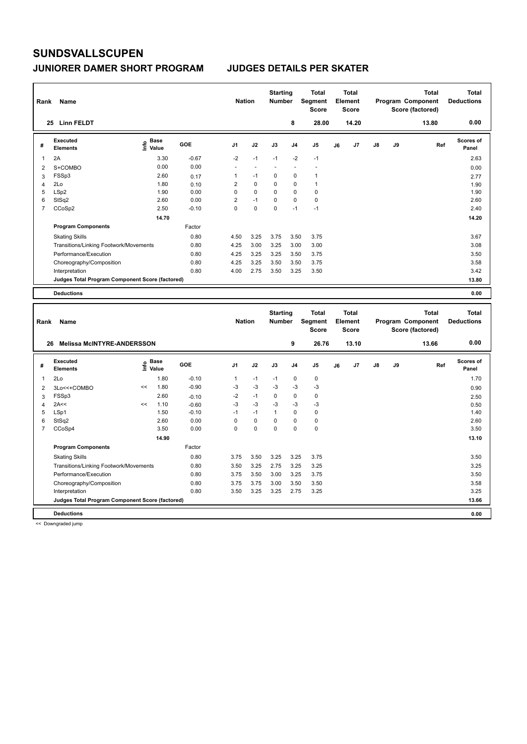| Rank           | Name                                            |                            |                 |                | <b>Nation</b>  | <b>Starting</b><br><b>Number</b> |                      | <b>Total</b><br>Segment<br><b>Score</b> | Element | <b>Total</b><br><b>Score</b> |    |    | <b>Total</b><br>Program Component<br>Score (factored) | <b>Total</b><br><b>Deductions</b> |
|----------------|-------------------------------------------------|----------------------------|-----------------|----------------|----------------|----------------------------------|----------------------|-----------------------------------------|---------|------------------------------|----|----|-------------------------------------------------------|-----------------------------------|
|                | 25 Linn FELDT                                   |                            |                 |                |                |                                  | 8                    | 28.00                                   |         | 14.20                        |    |    | 13.80                                                 | 0.00                              |
| #              | <b>Executed</b><br><b>Elements</b>              | <b>Base</b><br>۴ô<br>Value | GOE             | J <sub>1</sub> | J2             | J3                               | J <sub>4</sub>       | J <sub>5</sub>                          | J6      | J7                           | J8 | J9 | Ref                                                   | Scores of<br>Panel                |
| 1              | 2A                                              |                            | 3.30<br>$-0.67$ | $-2$           | $-1$           | $-1$                             | $-2$                 | $-1$                                    |         |                              |    |    |                                                       | 2.63                              |
| $\overline{2}$ | S+COMBO                                         |                            | 0.00<br>0.00    | ÷              | $\overline{a}$ | $\overline{a}$                   | $\ddot{\phantom{1}}$ | $\overline{a}$                          |         |                              |    |    |                                                       | 0.00                              |
| 3              | FSSp3                                           |                            | 2.60<br>0.17    | 1              | $-1$           | 0                                | 0                    | $\mathbf{1}$                            |         |                              |    |    |                                                       | 2.77                              |
| $\overline{4}$ | 2Lo                                             |                            | 1.80<br>0.10    | $\overline{2}$ | 0              | 0                                | 0                    | $\mathbf{1}$                            |         |                              |    |    |                                                       | 1.90                              |
| 5              | LSp2                                            |                            | 1.90<br>0.00    | 0              | $\Omega$       | $\Omega$                         | $\mathbf 0$          | $\mathbf 0$                             |         |                              |    |    |                                                       | 1.90                              |
| 6              | StSq2                                           |                            | 2.60<br>0.00    | $\overline{2}$ | $-1$           | $\Omega$                         | $\mathbf 0$          | $\pmb{0}$                               |         |                              |    |    |                                                       | 2.60                              |
| $\overline{7}$ | CCoSp2                                          |                            | 2.50<br>$-0.10$ | $\Omega$       | $\Omega$       | $\mathbf 0$                      | $-1$                 | $-1$                                    |         |                              |    |    |                                                       | 2.40                              |
|                |                                                 |                            | 14.70           |                |                |                                  |                      |                                         |         |                              |    |    |                                                       | 14.20                             |
|                | <b>Program Components</b>                       |                            | Factor          |                |                |                                  |                      |                                         |         |                              |    |    |                                                       |                                   |
|                | <b>Skating Skills</b>                           |                            | 0.80            | 4.50           | 3.25           | 3.75                             | 3.50                 | 3.75                                    |         |                              |    |    |                                                       | 3.67                              |
|                | Transitions/Linking Footwork/Movements          |                            | 0.80            | 4.25           | 3.00           | 3.25                             | 3.00                 | 3.00                                    |         |                              |    |    |                                                       | 3.08                              |
|                | Performance/Execution                           |                            | 0.80            | 4.25           | 3.25           | 3.25                             | 3.50                 | 3.75                                    |         |                              |    |    |                                                       | 3.50                              |
|                | Choreography/Composition                        |                            | 0.80            | 4.25           | 3.25           | 3.50                             | 3.50                 | 3.75                                    |         |                              |    |    |                                                       | 3.58                              |
|                | Interpretation                                  |                            | 0.80            | 4.00           | 2.75           | 3.50                             | 3.25                 | 3.50                                    |         |                              |    |    |                                                       | 3.42                              |
|                | Judges Total Program Component Score (factored) |                            |                 |                |                |                                  |                      |                                         |         |                              |    |    |                                                       | 13.80                             |
|                | <b>Deductions</b>                               |                            |                 |                |                |                                  |                      |                                         |         |                              |    |    |                                                       | 0.00                              |
|                |                                                 |                            |                 |                |                |                                  |                      |                                         |         |                              |    |    |                                                       |                                   |
| Rank           | Name                                            |                            |                 |                | <b>Nation</b>  | <b>Starting</b><br><b>Number</b> |                      | <b>Total</b><br>Segment<br><b>Score</b> | Element | <b>Total</b><br><b>Score</b> |    |    | <b>Total</b><br>Program Component<br>Score (factored) | <b>Total</b><br><b>Deductions</b> |
|                | <b>Melissa McINTYRE-ANDERSSON</b><br>26         |                            |                 |                |                |                                  | 9                    | 26.76                                   |         | 13.10                        |    |    | 13.66                                                 | 0.00                              |
| #              | <b>Executed</b><br><b>Elements</b>              | <b>Base</b><br>١ų<br>Value | GOE             | J <sub>1</sub> | J2             | J3                               | J <sub>4</sub>       | J <sub>5</sub>                          | J6      | J7                           | J8 | J9 | Ref                                                   | Scores of<br>Panel                |
| 1              | 2Lo                                             |                            | 1.80<br>$-0.10$ | $\mathbf{1}$   | $-1$           | $-1$                             | 0                    | $\pmb{0}$                               |         |                              |    |    |                                                       | 1.70                              |
| $\overline{2}$ | 3Lo<<+COMBO                                     | <<                         | 1.80<br>$-0.90$ | $-3$           | $-3$           | $-3$                             | $-3$                 | $-3$                                    |         |                              |    |    |                                                       | 0.90                              |
| 3              | FSSp3                                           |                            | 2.60<br>$-0.10$ | $-2$           | $-1$           | $\Omega$                         | $\Omega$             | $\pmb{0}$                               |         |                              |    |    |                                                       | 2.50                              |
|                | $0.8 - 1.2$                                     | $\sim$ $\sim$              | $\overline{A}$  | $\sim$         | $\sim$         | $\sim$                           | $\sim$               | $\sim$                                  |         |                              |    |    |                                                       |                                   |

|   | <b>Deductions</b>                               |    |       |         |      |          |             |      |      | 0.00  |
|---|-------------------------------------------------|----|-------|---------|------|----------|-------------|------|------|-------|
|   | Judges Total Program Component Score (factored) |    |       |         |      |          |             |      |      | 13.66 |
|   | Interpretation                                  |    |       | 0.80    | 3.50 | 3.25     | 3.25        | 2.75 | 3.25 | 3.25  |
|   | Choreography/Composition                        |    |       | 0.80    | 3.75 | 3.75     | 3.00        | 3.50 | 3.50 | 3.58  |
|   | Performance/Execution                           |    |       | 0.80    | 3.75 | 3.50     | 3.00        | 3.25 | 3.75 | 3.50  |
|   | Transitions/Linking Footwork/Movements          |    |       | 0.80    | 3.50 | 3.25     | 2.75        | 3.25 | 3.25 | 3.25  |
|   | <b>Skating Skills</b>                           |    |       | 0.80    | 3.75 | 3.50     | 3.25        | 3.25 | 3.75 | 3.50  |
|   | <b>Program Components</b>                       |    |       | Factor  |      |          |             |      |      |       |
|   |                                                 |    | 14.90 |         |      |          |             |      |      | 13.10 |
|   | CCoSp4                                          |    | 3.50  | 0.00    | 0    | $\Omega$ | 0           | 0    | 0    | 3.50  |
| 6 | StSq2                                           |    | 2.60  | 0.00    | 0    | 0        | 0           | 0    | 0    | 2.60  |
| 5 | LSp1                                            |    | 1.50  | $-0.10$ | $-1$ | $-1$     | $\mathbf 1$ | 0    | 0    | 1.40  |
| 4 | 2A<<                                            | << | 1.10  | $-0.60$ | -3   | $-3$     | $-3$        | $-3$ | -3   | 0.50  |
| 3 | FSSp3                                           |    | 2.60  | $-0.10$ | $-2$ | -1       | 0           | 0    | 0    | 2.50  |
| 2 | 3Lo<<+COMBO                                     | ≺≺ | I.ŏU  | -0.90   | -3   | -3       | -3          | -3   | -3   | 0.90  |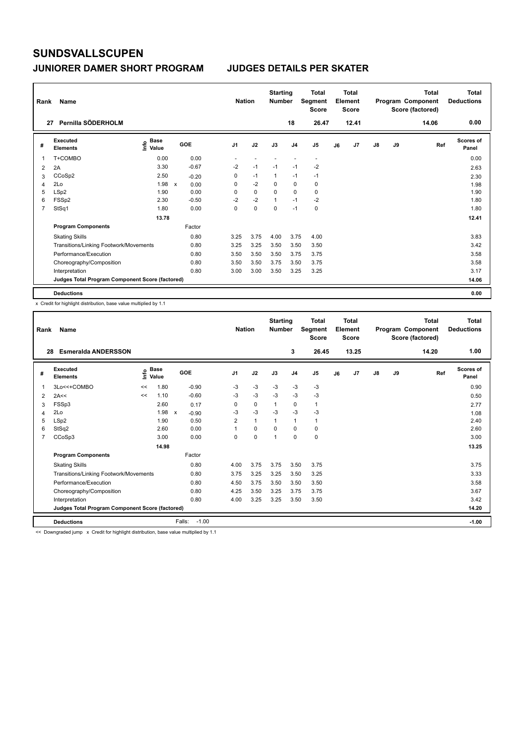### **JUNIORER DAMER SHORT PROGRAM JUDGES DETAILS PER SKATER**

| Rank           | Name                                            |                             |              |         | <b>Nation</b>  |             | <b>Starting</b><br><b>Number</b> |                | <b>Total</b><br><b>Segment</b><br><b>Score</b> |    | Total<br>Element<br>Score |               |    | <b>Total</b><br>Program Component<br>Score (factored) | <b>Total</b><br><b>Deductions</b> |
|----------------|-------------------------------------------------|-----------------------------|--------------|---------|----------------|-------------|----------------------------------|----------------|------------------------------------------------|----|---------------------------|---------------|----|-------------------------------------------------------|-----------------------------------|
| 27             | Pernilla SÖDERHOLM                              |                             |              |         |                |             |                                  | 18             | 26.47                                          |    | 12.41                     |               |    | 14.06                                                 | 0.00                              |
| #              | Executed<br><b>Elements</b>                     | Base<br>$\frac{6}{5}$ Value | GOE          |         | J <sub>1</sub> | J2          | J3                               | J <sub>4</sub> | J <sub>5</sub>                                 | J6 | J7                        | $\mathsf{J}8$ | J9 | Ref                                                   | <b>Scores of</b><br>Panel         |
| 1              | T+COMBO                                         | 0.00                        |              | 0.00    |                |             |                                  |                | $\overline{\phantom{a}}$                       |    |                           |               |    |                                                       | 0.00                              |
| 2              | 2A                                              | 3.30                        |              | $-0.67$ | $-2$           | $-1$        | $-1$                             | $-1$           | $-2$                                           |    |                           |               |    |                                                       | 2.63                              |
| 3              | CCoSp2                                          | 2.50                        |              | $-0.20$ | 0              | $-1$        | 1                                | $-1$           | $-1$                                           |    |                           |               |    |                                                       | 2.30                              |
| 4              | 2Lo                                             | 1.98                        | $\mathsf{x}$ | 0.00    | 0              | $-2$        | $\Omega$                         | $\mathbf 0$    | 0                                              |    |                           |               |    |                                                       | 1.98                              |
| 5              | LSp2                                            | 1.90                        |              | 0.00    | 0              | $\mathbf 0$ | $\Omega$                         | $\mathbf 0$    | $\mathbf 0$                                    |    |                           |               |    |                                                       | 1.90                              |
| 6              | FSSp2                                           | 2.30                        |              | $-0.50$ | $-2$           | $-2$        | 1                                | $-1$           | $-2$                                           |    |                           |               |    |                                                       | 1.80                              |
| $\overline{7}$ | StSq1                                           | 1.80                        |              | 0.00    | 0              | $\pmb{0}$   | $\mathbf 0$                      | $-1$           | $\pmb{0}$                                      |    |                           |               |    |                                                       | 1.80                              |
|                |                                                 | 13.78                       |              |         |                |             |                                  |                |                                                |    |                           |               |    |                                                       | 12.41                             |
|                | <b>Program Components</b>                       |                             |              | Factor  |                |             |                                  |                |                                                |    |                           |               |    |                                                       |                                   |
|                | <b>Skating Skills</b>                           |                             |              | 0.80    | 3.25           | 3.75        | 4.00                             | 3.75           | 4.00                                           |    |                           |               |    |                                                       | 3.83                              |
|                | Transitions/Linking Footwork/Movements          |                             |              | 0.80    | 3.25           | 3.25        | 3.50                             | 3.50           | 3.50                                           |    |                           |               |    |                                                       | 3.42                              |
|                | Performance/Execution                           |                             |              | 0.80    | 3.50           | 3.50        | 3.50                             | 3.75           | 3.75                                           |    |                           |               |    |                                                       | 3.58                              |
|                | Choreography/Composition                        |                             |              | 0.80    | 3.50           | 3.50        | 3.75                             | 3.50           | 3.75                                           |    |                           |               |    |                                                       | 3.58                              |
|                | Interpretation                                  |                             |              | 0.80    | 3.00           | 3.00        | 3.50                             | 3.25           | 3.25                                           |    |                           |               |    |                                                       | 3.17                              |
|                | Judges Total Program Component Score (factored) |                             |              |         |                |             |                                  |                |                                                |    |                           |               |    |                                                       | 14.06                             |
|                | <b>Deductions</b>                               |                             |              |         |                |             |                                  |                |                                                |    |                           |               |    |                                                       | 0.00                              |

x Credit for highlight distribution, base value multiplied by 1.1

| Rank           | Name                                                                                                              |    | <b>Nation</b>          |                         | <b>Starting</b><br><b>Number</b> |              | <b>Total</b><br>Segment<br><b>Score</b> |                | Total<br>Element<br><b>Score</b> |    |                | Total<br>Program Component<br>Score (factored) | Total<br><b>Deductions</b> |       |                           |
|----------------|-------------------------------------------------------------------------------------------------------------------|----|------------------------|-------------------------|----------------------------------|--------------|-----------------------------------------|----------------|----------------------------------|----|----------------|------------------------------------------------|----------------------------|-------|---------------------------|
| 28             | <b>Esmeralda ANDERSSON</b>                                                                                        |    |                        |                         |                                  |              |                                         | 3              | 26.45                            |    | 13.25          |                                                |                            | 14.20 | 1.00                      |
| #              | Executed<br><b>Elements</b>                                                                                       |    | $\sum_{i=1}^{n}$ Value | GOE                     | J <sub>1</sub>                   | J2           | J3                                      | J <sub>4</sub> | J <sub>5</sub>                   | J6 | J <sub>7</sub> | J8                                             | J9                         | Ref   | <b>Scores of</b><br>Panel |
| 1              | 3Lo<<+COMBO                                                                                                       | << | 1.80                   | $-0.90$                 | $-3$                             | $-3$         | $-3$                                    | $-3$           | $-3$                             |    |                |                                                |                            |       | 0.90                      |
| 2              | 2A<<                                                                                                              | << | 1.10                   | $-0.60$                 | $-3$                             | $-3$         | $-3$                                    | $-3$           | $-3$                             |    |                |                                                |                            |       | 0.50                      |
| 3              | FSSp3                                                                                                             |    | 2.60                   | 0.17                    | 0                                | 0            | 1                                       | $\mathbf 0$    | 1                                |    |                |                                                |                            |       | 2.77                      |
| 4              | 2Lo                                                                                                               |    | 1.98                   | $-0.90$<br>$\mathsf{x}$ | -3                               | $-3$         | $-3$                                    | $-3$           | $-3$                             |    |                |                                                |                            |       | 1.08                      |
| 5              | LSp2                                                                                                              |    | 1.90                   | 0.50                    | $\overline{2}$                   | $\mathbf{1}$ | 1                                       | $\mathbf{1}$   | 1                                |    |                |                                                |                            |       | 2.40                      |
| 6              | StSq2                                                                                                             |    | 2.60                   | 0.00                    | 1                                | 0            | $\Omega$                                | $\mathbf 0$    | 0                                |    |                |                                                |                            |       | 2.60                      |
| $\overline{7}$ | CCoSp3                                                                                                            |    | 3.00                   | 0.00                    | $\Omega$                         | $\Omega$     | 1                                       | $\Omega$       | 0                                |    |                |                                                |                            |       | 3.00                      |
|                |                                                                                                                   |    | 14.98                  |                         |                                  |              |                                         |                |                                  |    |                |                                                |                            |       | 13.25                     |
|                | <b>Program Components</b>                                                                                         |    |                        | Factor                  |                                  |              |                                         |                |                                  |    |                |                                                |                            |       |                           |
|                | <b>Skating Skills</b>                                                                                             |    |                        | 0.80                    | 4.00                             | 3.75         | 3.75                                    | 3.50           | 3.75                             |    |                |                                                |                            |       | 3.75                      |
|                | Transitions/Linking Footwork/Movements                                                                            |    |                        | 0.80                    | 3.75                             | 3.25         | 3.25                                    | 3.50           | 3.25                             |    |                |                                                |                            |       | 3.33                      |
|                | Performance/Execution                                                                                             |    |                        | 0.80                    | 4.50                             | 3.75         | 3.50                                    | 3.50           | 3.50                             |    |                |                                                |                            |       | 3.58                      |
|                | Choreography/Composition                                                                                          |    |                        | 0.80                    | 4.25                             | 3.50         | 3.25                                    | 3.75           | 3.75                             |    |                |                                                |                            |       | 3.67                      |
|                | Interpretation                                                                                                    |    |                        | 0.80                    | 4.00                             | 3.25         | 3.25                                    | 3.50           | 3.50                             |    |                |                                                |                            |       | 3.42                      |
|                | Judges Total Program Component Score (factored)                                                                   |    |                        |                         |                                  |              |                                         |                |                                  |    |                |                                                |                            |       | 14.20                     |
|                | <b>Deductions</b>                                                                                                 |    |                        | Falls:<br>$-1.00$       |                                  |              |                                         |                |                                  |    |                |                                                |                            |       | $-1.00$                   |
|                | a a "Procedural de discussion" en "Procedural de la batalla discussional de la composició de cualquista di la com |    |                        |                         |                                  |              |                                         |                |                                  |    |                |                                                |                            |       |                           |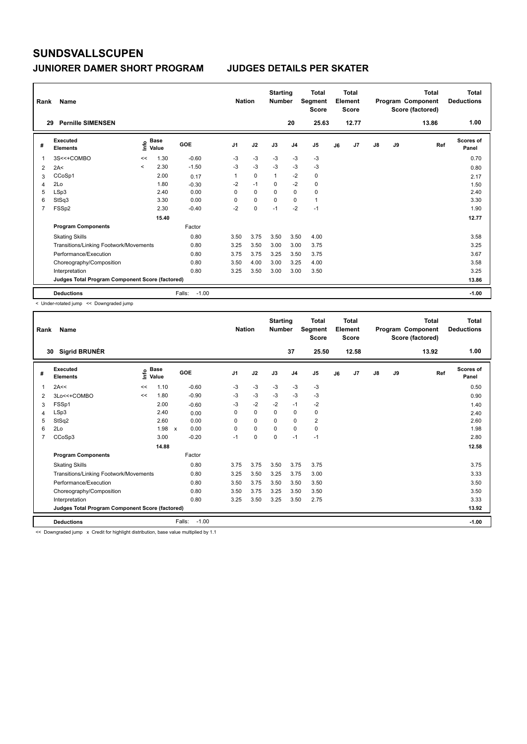| Rank         | Name                                            |         | <b>Nation</b>        |                   | <b>Starting</b><br><b>Number</b> |             | Total<br>Segment<br><b>Score</b> |                | <b>Total</b><br>Element<br><b>Score</b> |    |       | <b>Total</b><br>Program Component<br>Score (factored) | <b>Total</b><br><b>Deductions</b> |       |                           |
|--------------|-------------------------------------------------|---------|----------------------|-------------------|----------------------------------|-------------|----------------------------------|----------------|-----------------------------------------|----|-------|-------------------------------------------------------|-----------------------------------|-------|---------------------------|
| 29           | <b>Pernille SIMENSEN</b>                        |         |                      |                   |                                  |             |                                  | 20             | 25.63                                   |    | 12.77 |                                                       |                                   | 13.86 | 1.00                      |
| #            | Executed<br><b>Elements</b>                     | ۴ů      | <b>Base</b><br>Value | GOE               | J <sub>1</sub>                   | J2          | J3                               | J <sub>4</sub> | J <sub>5</sub>                          | J6 | J7    | $\mathsf{J}8$                                         | J9                                | Ref   | <b>Scores of</b><br>Panel |
| $\mathbf{1}$ | 3S<<+COMBO                                      | <<      | 1.30                 | $-0.60$           | -3                               | $-3$        | -3                               | $-3$           | $-3$                                    |    |       |                                                       |                                   |       | 0.70                      |
| 2            | 2A<                                             | $\prec$ | 2.30                 | $-1.50$           | $-3$                             | $-3$        | $-3$                             | $-3$           | $-3$                                    |    |       |                                                       |                                   |       | 0.80                      |
| 3            | CCoSp1                                          |         | 2.00                 | 0.17              | 1                                | $\mathbf 0$ | 1                                | $-2$           | 0                                       |    |       |                                                       |                                   |       | 2.17                      |
| 4            | 2Lo                                             |         | 1.80                 | $-0.30$           | $-2$                             | $-1$        | 0                                | $-2$           | $\mathbf 0$                             |    |       |                                                       |                                   |       | 1.50                      |
| 5            | LSp3                                            |         | 2.40                 | 0.00              | 0                                | 0           | 0                                | $\mathbf 0$    | 0                                       |    |       |                                                       |                                   |       | 2.40                      |
| 6            | StSq3                                           |         | 3.30                 | 0.00              | 0                                | $\mathbf 0$ | $\mathbf 0$                      | $\mathbf 0$    | $\mathbf{1}$                            |    |       |                                                       |                                   |       | 3.30                      |
| 7            | FSSp2                                           |         | 2.30                 | $-0.40$           | $-2$                             | $\pmb{0}$   | $-1$                             | $-2$           | $-1$                                    |    |       |                                                       |                                   |       | 1.90                      |
|              |                                                 |         | 15.40                |                   |                                  |             |                                  |                |                                         |    |       |                                                       |                                   |       | 12.77                     |
|              | <b>Program Components</b>                       |         |                      | Factor            |                                  |             |                                  |                |                                         |    |       |                                                       |                                   |       |                           |
|              | <b>Skating Skills</b>                           |         |                      | 0.80              | 3.50                             | 3.75        | 3.50                             | 3.50           | 4.00                                    |    |       |                                                       |                                   |       | 3.58                      |
|              | Transitions/Linking Footwork/Movements          |         |                      | 0.80              | 3.25                             | 3.50        | 3.00                             | 3.00           | 3.75                                    |    |       |                                                       |                                   |       | 3.25                      |
|              | Performance/Execution                           |         |                      | 0.80              | 3.75                             | 3.75        | 3.25                             | 3.50           | 3.75                                    |    |       |                                                       |                                   |       | 3.67                      |
|              | Choreography/Composition                        |         |                      | 0.80              | 3.50                             | 4.00        | 3.00                             | 3.25           | 4.00                                    |    |       |                                                       |                                   |       | 3.58                      |
|              | Interpretation                                  |         |                      | 0.80              | 3.25                             | 3.50        | 3.00                             | 3.00           | 3.50                                    |    |       |                                                       |                                   |       | 3.25                      |
|              | Judges Total Program Component Score (factored) |         |                      |                   |                                  |             |                                  |                |                                         |    |       |                                                       |                                   |       | 13.86                     |
|              | <b>Deductions</b>                               |         |                      | $-1.00$<br>Falls: |                                  |             |                                  |                |                                         |    |       |                                                       |                                   |       | $-1.00$                   |

< Under-rotated jump << Downgraded jump

| 1.00<br>30 Sigrid BRUNÉR<br>25.50<br>12.58<br>37<br>13.92<br>Executed<br>$\frac{e}{E}$ Base<br>$\frac{E}{E}$ Value<br><b>Scores of</b><br>GOE<br>J <sub>1</sub><br>J2<br>J <sub>4</sub><br>J9<br>J3<br>J <sub>5</sub><br>J7<br>$\mathsf{J}8$<br>Ref<br>#<br>J6<br>Value<br><b>Elements</b><br>Panel<br>$-3$<br>$-0.60$<br>$-3$<br>$-3$<br>2A<<<br>1.10<br>$-3$<br>$-3$<br>0.50<br>1<br><<<br>$-3$<br>$-0.90$<br>$-3$<br>$-3$<br>$-3$<br>$-3$<br>1.80<br>3Lo<<+COMBO<br>0.90<br><<<br>2<br>$-2$<br>$-1$<br>$-2$<br>FSSp1<br>2.00<br>$-3$<br>$-2$<br>$-0.60$<br>1.40<br>3<br>LSp3<br>$\Omega$<br>0<br>2.40<br>$\Omega$<br>0<br>$\Omega$<br>0.00<br>2.40<br>4<br>$\overline{\mathbf{c}}$<br>StSq2<br>2.60<br>0.00<br>0<br>$\mathbf 0$<br>$\mathbf 0$<br>2.60<br>0<br>5<br>0.00<br>0<br>$\mathbf 0$<br>2Lo<br>1.98 x<br>$\Omega$<br>0<br>1.98<br>6<br>$\Omega$<br>CCoSp3<br>3.00<br>$-0.20$<br>$\Omega$<br>$\Omega$<br>$-1$<br>$-1$<br>2.80<br>$\overline{7}$<br>$-1$<br>12.58<br>14.88<br>Factor<br><b>Program Components</b><br>0.80<br>3.75<br>3.50<br>3.75<br>3.75<br>3.75<br><b>Skating Skills</b><br>3.75<br>3.33<br>Transitions/Linking Footwork/Movements<br>0.80<br>3.25<br>3.50<br>3.75<br>3.00<br>3.25<br>Performance/Execution<br>0.80<br>3.75<br>3.50<br>3.50<br>3.50<br>3.50<br>3.50<br>3.50<br>0.80<br>3.50<br>3.75<br>3.50<br>3.50<br>Choreography/Composition<br>3.25<br>3.33<br>Interpretation<br>0.80<br>3.25<br>3.50<br>3.25<br>3.50<br>2.75<br>Judges Total Program Component Score (factored)<br>13.92<br>Falls:<br>$-1.00$<br><b>Deductions</b><br>$-1.00$ | Rank | Name | <b>Nation</b> | <b>Starting</b><br><b>Number</b> | <b>Total</b><br>Segment<br><b>Score</b> | Total<br>Element<br><b>Score</b> |  | <b>Total</b><br>Program Component<br>Score (factored) | <b>Total</b><br><b>Deductions</b> |  |
|-------------------------------------------------------------------------------------------------------------------------------------------------------------------------------------------------------------------------------------------------------------------------------------------------------------------------------------------------------------------------------------------------------------------------------------------------------------------------------------------------------------------------------------------------------------------------------------------------------------------------------------------------------------------------------------------------------------------------------------------------------------------------------------------------------------------------------------------------------------------------------------------------------------------------------------------------------------------------------------------------------------------------------------------------------------------------------------------------------------------------------------------------------------------------------------------------------------------------------------------------------------------------------------------------------------------------------------------------------------------------------------------------------------------------------------------------------------------------------------------------------------------------------------------------------------------------------|------|------|---------------|----------------------------------|-----------------------------------------|----------------------------------|--|-------------------------------------------------------|-----------------------------------|--|
|                                                                                                                                                                                                                                                                                                                                                                                                                                                                                                                                                                                                                                                                                                                                                                                                                                                                                                                                                                                                                                                                                                                                                                                                                                                                                                                                                                                                                                                                                                                                                                               |      |      |               |                                  |                                         |                                  |  |                                                       |                                   |  |
|                                                                                                                                                                                                                                                                                                                                                                                                                                                                                                                                                                                                                                                                                                                                                                                                                                                                                                                                                                                                                                                                                                                                                                                                                                                                                                                                                                                                                                                                                                                                                                               |      |      |               |                                  |                                         |                                  |  |                                                       |                                   |  |
|                                                                                                                                                                                                                                                                                                                                                                                                                                                                                                                                                                                                                                                                                                                                                                                                                                                                                                                                                                                                                                                                                                                                                                                                                                                                                                                                                                                                                                                                                                                                                                               |      |      |               |                                  |                                         |                                  |  |                                                       |                                   |  |
|                                                                                                                                                                                                                                                                                                                                                                                                                                                                                                                                                                                                                                                                                                                                                                                                                                                                                                                                                                                                                                                                                                                                                                                                                                                                                                                                                                                                                                                                                                                                                                               |      |      |               |                                  |                                         |                                  |  |                                                       |                                   |  |
|                                                                                                                                                                                                                                                                                                                                                                                                                                                                                                                                                                                                                                                                                                                                                                                                                                                                                                                                                                                                                                                                                                                                                                                                                                                                                                                                                                                                                                                                                                                                                                               |      |      |               |                                  |                                         |                                  |  |                                                       |                                   |  |
|                                                                                                                                                                                                                                                                                                                                                                                                                                                                                                                                                                                                                                                                                                                                                                                                                                                                                                                                                                                                                                                                                                                                                                                                                                                                                                                                                                                                                                                                                                                                                                               |      |      |               |                                  |                                         |                                  |  |                                                       |                                   |  |
|                                                                                                                                                                                                                                                                                                                                                                                                                                                                                                                                                                                                                                                                                                                                                                                                                                                                                                                                                                                                                                                                                                                                                                                                                                                                                                                                                                                                                                                                                                                                                                               |      |      |               |                                  |                                         |                                  |  |                                                       |                                   |  |
|                                                                                                                                                                                                                                                                                                                                                                                                                                                                                                                                                                                                                                                                                                                                                                                                                                                                                                                                                                                                                                                                                                                                                                                                                                                                                                                                                                                                                                                                                                                                                                               |      |      |               |                                  |                                         |                                  |  |                                                       |                                   |  |
|                                                                                                                                                                                                                                                                                                                                                                                                                                                                                                                                                                                                                                                                                                                                                                                                                                                                                                                                                                                                                                                                                                                                                                                                                                                                                                                                                                                                                                                                                                                                                                               |      |      |               |                                  |                                         |                                  |  |                                                       |                                   |  |
|                                                                                                                                                                                                                                                                                                                                                                                                                                                                                                                                                                                                                                                                                                                                                                                                                                                                                                                                                                                                                                                                                                                                                                                                                                                                                                                                                                                                                                                                                                                                                                               |      |      |               |                                  |                                         |                                  |  |                                                       |                                   |  |
|                                                                                                                                                                                                                                                                                                                                                                                                                                                                                                                                                                                                                                                                                                                                                                                                                                                                                                                                                                                                                                                                                                                                                                                                                                                                                                                                                                                                                                                                                                                                                                               |      |      |               |                                  |                                         |                                  |  |                                                       |                                   |  |
|                                                                                                                                                                                                                                                                                                                                                                                                                                                                                                                                                                                                                                                                                                                                                                                                                                                                                                                                                                                                                                                                                                                                                                                                                                                                                                                                                                                                                                                                                                                                                                               |      |      |               |                                  |                                         |                                  |  |                                                       |                                   |  |
|                                                                                                                                                                                                                                                                                                                                                                                                                                                                                                                                                                                                                                                                                                                                                                                                                                                                                                                                                                                                                                                                                                                                                                                                                                                                                                                                                                                                                                                                                                                                                                               |      |      |               |                                  |                                         |                                  |  |                                                       |                                   |  |
|                                                                                                                                                                                                                                                                                                                                                                                                                                                                                                                                                                                                                                                                                                                                                                                                                                                                                                                                                                                                                                                                                                                                                                                                                                                                                                                                                                                                                                                                                                                                                                               |      |      |               |                                  |                                         |                                  |  |                                                       |                                   |  |
|                                                                                                                                                                                                                                                                                                                                                                                                                                                                                                                                                                                                                                                                                                                                                                                                                                                                                                                                                                                                                                                                                                                                                                                                                                                                                                                                                                                                                                                                                                                                                                               |      |      |               |                                  |                                         |                                  |  |                                                       |                                   |  |
|                                                                                                                                                                                                                                                                                                                                                                                                                                                                                                                                                                                                                                                                                                                                                                                                                                                                                                                                                                                                                                                                                                                                                                                                                                                                                                                                                                                                                                                                                                                                                                               |      |      |               |                                  |                                         |                                  |  |                                                       |                                   |  |
|                                                                                                                                                                                                                                                                                                                                                                                                                                                                                                                                                                                                                                                                                                                                                                                                                                                                                                                                                                                                                                                                                                                                                                                                                                                                                                                                                                                                                                                                                                                                                                               |      |      |               |                                  |                                         |                                  |  |                                                       |                                   |  |
|                                                                                                                                                                                                                                                                                                                                                                                                                                                                                                                                                                                                                                                                                                                                                                                                                                                                                                                                                                                                                                                                                                                                                                                                                                                                                                                                                                                                                                                                                                                                                                               |      |      |               |                                  |                                         |                                  |  |                                                       |                                   |  |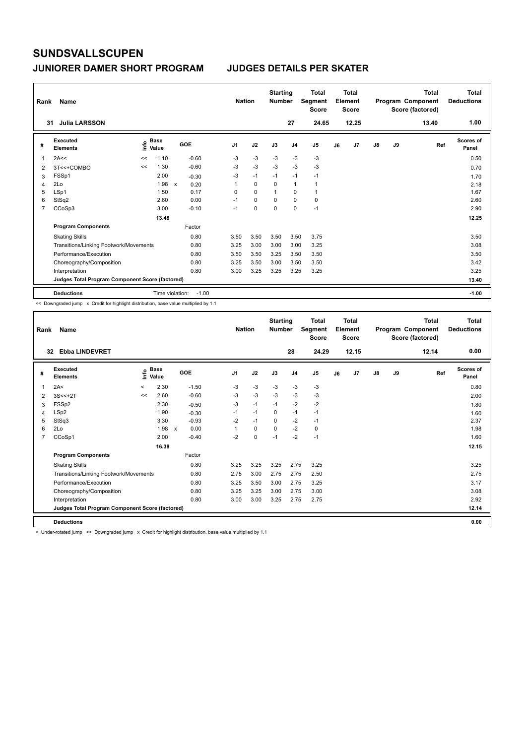| Rank           | Name                                            | <b>Nation</b> |                      | <b>Starting</b><br><b>Number</b> |                | <b>Total</b><br>Segment<br><b>Score</b> |                | Total<br>Element<br><b>Score</b> |                |    | <b>Total</b><br>Program Component<br>Score (factored) | <b>Total</b><br><b>Deductions</b> |    |       |                           |
|----------------|-------------------------------------------------|---------------|----------------------|----------------------------------|----------------|-----------------------------------------|----------------|----------------------------------|----------------|----|-------------------------------------------------------|-----------------------------------|----|-------|---------------------------|
| 31             | <b>Julia LARSSON</b>                            |               |                      |                                  |                |                                         |                | 27                               | 24.65          |    | 12.25                                                 |                                   |    | 13.40 | 1.00                      |
| #              | Executed<br><b>Elements</b>                     | lnfo          | <b>Base</b><br>Value | GOE                              | J <sub>1</sub> | J2                                      | J3             | J <sub>4</sub>                   | J <sub>5</sub> | J6 | J7                                                    | $\mathsf{J}8$                     | J9 | Ref   | <b>Scores of</b><br>Panel |
| 1              | 2A<<                                            | <<            | 1.10                 | $-0.60$                          | $-3$           | $-3$                                    | $-3$           | $-3$                             | $-3$           |    |                                                       |                                   |    |       | 0.50                      |
| 2              | 3T<<+COMBO                                      | <<            | 1.30                 | $-0.60$                          | $-3$           | $-3$                                    | $-3$           | $-3$                             | $-3$           |    |                                                       |                                   |    |       | 0.70                      |
| 3              | FSSp1                                           |               | 2.00                 | $-0.30$                          | $-3$           | $-1$                                    | $-1$           | $-1$                             | $-1$           |    |                                                       |                                   |    |       | 1.70                      |
| 4              | 2Lo                                             |               | 1.98                 | $\mathsf{x}$<br>0.20             | 1              | $\mathbf 0$                             | 0              | $\overline{1}$                   | $\mathbf{1}$   |    |                                                       |                                   |    |       | 2.18                      |
| 5              | LSp1                                            |               | 1.50                 | 0.17                             | 0              | $\mathbf 0$                             | $\overline{1}$ | $\mathbf 0$                      | $\mathbf{1}$   |    |                                                       |                                   |    |       | 1.67                      |
| 6              | StSq2                                           |               | 2.60                 | 0.00                             | $-1$           | $\mathbf 0$                             | $\Omega$       | 0                                | 0              |    |                                                       |                                   |    |       | 2.60                      |
| $\overline{7}$ | CCoSp3                                          |               | 3.00                 | $-0.10$                          | $-1$           | $\mathbf 0$                             | 0              | $\mathbf 0$                      | $-1$           |    |                                                       |                                   |    |       | 2.90                      |
|                |                                                 |               | 13.48                |                                  |                |                                         |                |                                  |                |    |                                                       |                                   |    |       | 12.25                     |
|                | <b>Program Components</b>                       |               |                      | Factor                           |                |                                         |                |                                  |                |    |                                                       |                                   |    |       |                           |
|                | <b>Skating Skills</b>                           |               |                      | 0.80                             | 3.50           | 3.50                                    | 3.50           | 3.50                             | 3.75           |    |                                                       |                                   |    |       | 3.50                      |
|                | Transitions/Linking Footwork/Movements          |               |                      | 0.80                             | 3.25           | 3.00                                    | 3.00           | 3.00                             | 3.25           |    |                                                       |                                   |    |       | 3.08                      |
|                | Performance/Execution                           |               |                      | 0.80                             | 3.50           | 3.50                                    | 3.25           | 3.50                             | 3.50           |    |                                                       |                                   |    |       | 3.50                      |
|                | Choreography/Composition                        |               |                      | 0.80                             | 3.25           | 3.50                                    | 3.00           | 3.50                             | 3.50           |    |                                                       |                                   |    |       | 3.42                      |
|                | Interpretation                                  |               |                      | 0.80                             | 3.00           | 3.25                                    | 3.25           | 3.25                             | 3.25           |    |                                                       |                                   |    |       | 3.25                      |
|                | Judges Total Program Component Score (factored) |               |                      |                                  |                |                                         |                |                                  |                |    |                                                       |                                   |    |       | 13.40                     |
|                | <b>Deductions</b>                               |               |                      | Time violation:<br>$-1.00$       |                |                                         |                |                                  |                |    |                                                       |                                   |    |       | $-1.00$                   |

<< Downgraded jump x Credit for highlight distribution, base value multiplied by 1.1

| Rank           | Name                                            |         | <b>Nation</b>        | <b>Starting</b><br><b>Number</b> |         | <b>Total</b><br>Segment<br><b>Score</b> |             | Total<br>Element<br><b>Score</b> |                |                | <b>Total</b><br>Program Component<br>Score (factored) | <b>Total</b><br><b>Deductions</b> |               |    |       |                           |
|----------------|-------------------------------------------------|---------|----------------------|----------------------------------|---------|-----------------------------------------|-------------|----------------------------------|----------------|----------------|-------------------------------------------------------|-----------------------------------|---------------|----|-------|---------------------------|
|                | <b>Ebba LINDEVRET</b><br>$32\,$                 |         |                      |                                  |         |                                         |             |                                  | 28             | 24.29          |                                                       | 12.15                             |               |    | 12.14 | 0.00                      |
| #              | Executed<br><b>Elements</b>                     | ١nfo    | <b>Base</b><br>Value |                                  | GOE     | J <sub>1</sub>                          | J2          | J3                               | J <sub>4</sub> | J <sub>5</sub> | J6                                                    | J <sub>7</sub>                    | $\mathsf{J}8$ | J9 | Ref   | <b>Scores of</b><br>Panel |
| 1              | 2A<                                             | $\,<\,$ | 2.30                 |                                  | $-1.50$ | -3                                      | $-3$        | $-3$                             | $-3$           | $-3$           |                                                       |                                   |               |    |       | 0.80                      |
| 2              | $3S < +2T$                                      | <<      | 2.60                 |                                  | $-0.60$ | $-3$                                    | $-3$        | $-3$                             | $-3$           | $-3$           |                                                       |                                   |               |    |       | 2.00                      |
| 3              | FSSp2                                           |         | 2.30                 |                                  | $-0.50$ | $-3$                                    | $-1$        | $-1$                             | $-2$           | $-2$           |                                                       |                                   |               |    |       | 1.80                      |
| 4              | LSp2                                            |         | 1.90                 |                                  | $-0.30$ | $-1$                                    | $-1$        | 0                                | $-1$           | $-1$           |                                                       |                                   |               |    |       | 1.60                      |
| 5              | StSq3                                           |         | 3.30                 |                                  | $-0.93$ | $-2$                                    | $-1$        | $\Omega$                         | $-2$           | $-1$           |                                                       |                                   |               |    |       | 2.37                      |
| 6              | 2Lo                                             |         | 1.98                 | $\boldsymbol{\mathsf{x}}$        | 0.00    | 1                                       | $\mathbf 0$ | $\Omega$                         | $-2$           | 0              |                                                       |                                   |               |    |       | 1.98                      |
| $\overline{7}$ | CCoSp1                                          |         | 2.00                 |                                  | $-0.40$ | $-2$                                    | $\mathbf 0$ | $-1$                             | $-2$           | $-1$           |                                                       |                                   |               |    |       | 1.60                      |
|                |                                                 |         | 16.38                |                                  |         |                                         |             |                                  |                |                |                                                       |                                   |               |    |       | 12.15                     |
|                | <b>Program Components</b>                       |         |                      |                                  | Factor  |                                         |             |                                  |                |                |                                                       |                                   |               |    |       |                           |
|                | <b>Skating Skills</b>                           |         |                      |                                  | 0.80    | 3.25                                    | 3.25        | 3.25                             | 2.75           | 3.25           |                                                       |                                   |               |    |       | 3.25                      |
|                | Transitions/Linking Footwork/Movements          |         |                      |                                  | 0.80    | 2.75                                    | 3.00        | 2.75                             | 2.75           | 2.50           |                                                       |                                   |               |    |       | 2.75                      |
|                | Performance/Execution                           |         |                      |                                  | 0.80    | 3.25                                    | 3.50        | 3.00                             | 2.75           | 3.25           |                                                       |                                   |               |    |       | 3.17                      |
|                | Choreography/Composition                        |         |                      |                                  | 0.80    | 3.25                                    | 3.25        | 3.00                             | 2.75           | 3.00           |                                                       |                                   |               |    |       | 3.08                      |
|                | Interpretation                                  |         |                      |                                  | 0.80    | 3.00                                    | 3.00        | 3.25                             | 2.75           | 2.75           |                                                       |                                   |               |    |       | 2.92                      |
|                | Judges Total Program Component Score (factored) |         |                      |                                  |         |                                         |             |                                  |                |                |                                                       |                                   |               |    |       | 12.14                     |
|                | <b>Deductions</b>                               |         |                      |                                  |         |                                         |             |                                  |                |                |                                                       |                                   |               |    |       | 0.00                      |

< Under-rotated jump << Downgraded jump x Credit for highlight distribution, base value multiplied by 1.1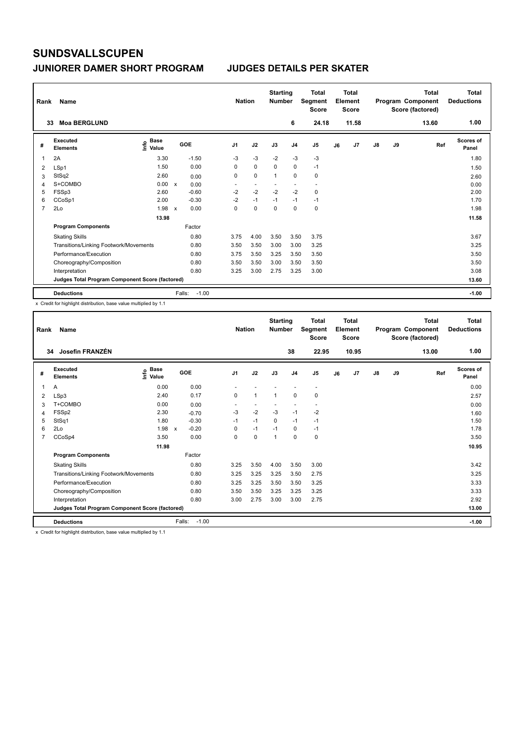### **JUNIORER DAMER SHORT PROGRAM JUDGES DETAILS PER SKATER**

| Rank | Name                                            |                                             |              |                   | <b>Nation</b>            |                | <b>Starting</b><br><b>Number</b> |                | <b>Total</b><br>Segment<br><b>Score</b> |    | <b>Total</b><br>Element<br><b>Score</b> |               |    | <b>Total</b><br>Program Component<br>Score (factored) | Total<br><b>Deductions</b> |
|------|-------------------------------------------------|---------------------------------------------|--------------|-------------------|--------------------------|----------------|----------------------------------|----------------|-----------------------------------------|----|-----------------------------------------|---------------|----|-------------------------------------------------------|----------------------------|
| 33   | <b>Moa BERGLUND</b>                             |                                             |              |                   |                          |                |                                  | 6              | 24.18                                   |    | 11.58                                   |               |    | 13.60                                                 | 1.00                       |
| #    | Executed<br><b>Elements</b>                     | <b>Base</b><br>e <sup>Base</sup><br>⊆ Value |              | GOE               | J <sub>1</sub>           | J2             | J3                               | J <sub>4</sub> | J <sub>5</sub>                          | J6 | J7                                      | $\mathsf{J}8$ | J9 | Ref                                                   | Scores of<br>Panel         |
| 1    | 2A                                              | 3.30                                        |              | $-1.50$           | $-3$                     | $-3$           | $-2$                             | $-3$           | -3                                      |    |                                         |               |    |                                                       | 1.80                       |
| 2    | LSp1                                            | 1.50                                        |              | 0.00              | 0                        | $\mathbf 0$    | $\mathbf 0$                      | $\mathbf 0$    | $-1$                                    |    |                                         |               |    |                                                       | 1.50                       |
| 3    | StSq2                                           | 2.60                                        |              | 0.00              | 0                        | $\mathbf 0$    | 1                                | 0              | 0                                       |    |                                         |               |    |                                                       | 2.60                       |
| 4    | S+COMBO                                         | 0.00                                        | $\mathsf{x}$ | 0.00              | $\overline{\phantom{a}}$ | $\overline{a}$ | $\overline{\phantom{a}}$         | ٠              | $\overline{\phantom{a}}$                |    |                                         |               |    |                                                       | 0.00                       |
| 5    | FSSp3                                           | 2.60                                        |              | $-0.60$           | $-2$                     | $-2$           | $-2$                             | $-2$           | $\mathbf 0$                             |    |                                         |               |    |                                                       | 2.00                       |
| 6    | CCoSp1                                          | 2.00                                        |              | $-0.30$           | $-2$                     | $-1$           | $-1$                             | $-1$           | $-1$                                    |    |                                         |               |    |                                                       | 1.70                       |
| 7    | 2Lo                                             | 1.98                                        | $\mathsf{x}$ | 0.00              | 0                        | $\mathbf 0$    | 0                                | 0              | 0                                       |    |                                         |               |    |                                                       | 1.98                       |
|      |                                                 | 13.98                                       |              |                   |                          |                |                                  |                |                                         |    |                                         |               |    |                                                       | 11.58                      |
|      | <b>Program Components</b>                       |                                             |              | Factor            |                          |                |                                  |                |                                         |    |                                         |               |    |                                                       |                            |
|      | <b>Skating Skills</b>                           |                                             |              | 0.80              | 3.75                     | 4.00           | 3.50                             | 3.50           | 3.75                                    |    |                                         |               |    |                                                       | 3.67                       |
|      | Transitions/Linking Footwork/Movements          |                                             |              | 0.80              | 3.50                     | 3.50           | 3.00                             | 3.00           | 3.25                                    |    |                                         |               |    |                                                       | 3.25                       |
|      | Performance/Execution                           |                                             |              | 0.80              | 3.75                     | 3.50           | 3.25                             | 3.50           | 3.50                                    |    |                                         |               |    |                                                       | 3.50                       |
|      | Choreography/Composition                        |                                             |              | 0.80              | 3.50                     | 3.50           | 3.00                             | 3.50           | 3.50                                    |    |                                         |               |    |                                                       | 3.50                       |
|      | Interpretation                                  |                                             |              | 0.80              | 3.25                     | 3.00           | 2.75                             | 3.25           | 3.00                                    |    |                                         |               |    |                                                       | 3.08                       |
|      | Judges Total Program Component Score (factored) |                                             |              |                   |                          |                |                                  |                |                                         |    |                                         |               |    |                                                       | 13.60                      |
|      | <b>Deductions</b>                               |                                             |              | Falls:<br>$-1.00$ |                          |                |                                  |                |                                         |    |                                         |               |    |                                                       | $-1.00$                    |

x Credit for highlight distribution, base value multiplied by 1.1

| Rank           | Name<br>Josefin FRANZÉN<br>34                   |                                           |              |         | <b>Nation</b>  |              | <b>Starting</b><br><b>Number</b> |                          | <b>Total</b><br>Segment<br><b>Score</b> |    | Total<br>Element<br><b>Score</b> |               |    | Total<br>Program Component<br>Score (factored) | <b>Total</b><br><b>Deductions</b> |
|----------------|-------------------------------------------------|-------------------------------------------|--------------|---------|----------------|--------------|----------------------------------|--------------------------|-----------------------------------------|----|----------------------------------|---------------|----|------------------------------------------------|-----------------------------------|
|                |                                                 |                                           |              |         |                |              |                                  | 38                       | 22.95                                   |    | 10.95                            |               |    | 13.00                                          | 1.00                              |
| #              | <b>Executed</b><br><b>Elements</b>              | $\frac{e}{E}$ Base<br>$\frac{e}{E}$ Value | GOE          |         | J <sub>1</sub> | J2           | J3                               | J <sub>4</sub>           | J5                                      | J6 | J7                               | $\mathsf{J}8$ | J9 | Ref                                            | <b>Scores of</b><br>Panel         |
| 1              | A                                               | 0.00                                      |              | 0.00    |                |              |                                  |                          | $\overline{\phantom{a}}$                |    |                                  |               |    |                                                | 0.00                              |
| 2              | LSp3                                            | 2.40                                      |              | 0.17    | 0              | $\mathbf{1}$ | $\mathbf 1$                      | 0                        | 0                                       |    |                                  |               |    |                                                | 2.57                              |
| 3              | T+COMBO                                         | 0.00                                      |              | 0.00    |                |              |                                  | $\overline{\phantom{a}}$ |                                         |    |                                  |               |    |                                                | 0.00                              |
| 4              | FSSp2                                           | 2.30                                      |              | $-0.70$ | $-3$           | $-2$         | $-3$                             | $-1$                     | $-2$                                    |    |                                  |               |    |                                                | 1.60                              |
| 5              | StSq1                                           | 1.80                                      |              | $-0.30$ | $-1$           | $-1$         | $\Omega$                         | $-1$                     | $-1$                                    |    |                                  |               |    |                                                | 1.50                              |
| 6              | 2Lo                                             | 1.98                                      | $\mathsf{x}$ | $-0.20$ | 0              | $-1$         | $-1$                             | 0                        | $-1$                                    |    |                                  |               |    |                                                | 1.78                              |
| $\overline{7}$ | CCoSp4                                          | 3.50                                      |              | 0.00    | $\Omega$       | $\Omega$     | $\overline{1}$                   | $\Omega$                 | 0                                       |    |                                  |               |    |                                                | 3.50                              |
|                |                                                 | 11.98                                     |              |         |                |              |                                  |                          |                                         |    |                                  |               |    |                                                | 10.95                             |
|                | <b>Program Components</b>                       |                                           | Factor       |         |                |              |                                  |                          |                                         |    |                                  |               |    |                                                |                                   |
|                | <b>Skating Skills</b>                           |                                           |              | 0.80    | 3.25           | 3.50         | 4.00                             | 3.50                     | 3.00                                    |    |                                  |               |    |                                                | 3.42                              |
|                | Transitions/Linking Footwork/Movements          |                                           |              | 0.80    | 3.25           | 3.25         | 3.25                             | 3.50                     | 2.75                                    |    |                                  |               |    |                                                | 3.25                              |
|                | Performance/Execution                           |                                           |              | 0.80    | 3.25           | 3.25         | 3.50                             | 3.50                     | 3.25                                    |    |                                  |               |    |                                                | 3.33                              |
|                | Choreography/Composition                        |                                           |              | 0.80    | 3.50           | 3.50         | 3.25                             | 3.25                     | 3.25                                    |    |                                  |               |    |                                                | 3.33                              |
|                | Interpretation                                  |                                           |              | 0.80    | 3.00           | 2.75         | 3.00                             | 3.00                     | 2.75                                    |    |                                  |               |    |                                                | 2.92                              |
|                | Judges Total Program Component Score (factored) |                                           |              |         |                |              |                                  |                          |                                         |    |                                  |               |    |                                                | 13.00                             |
|                | <b>Deductions</b>                               |                                           | Falls:       | $-1.00$ |                |              |                                  |                          |                                         |    |                                  |               |    |                                                | $-1.00$                           |

x Credit for highlight distribution, base value multiplied by 1.1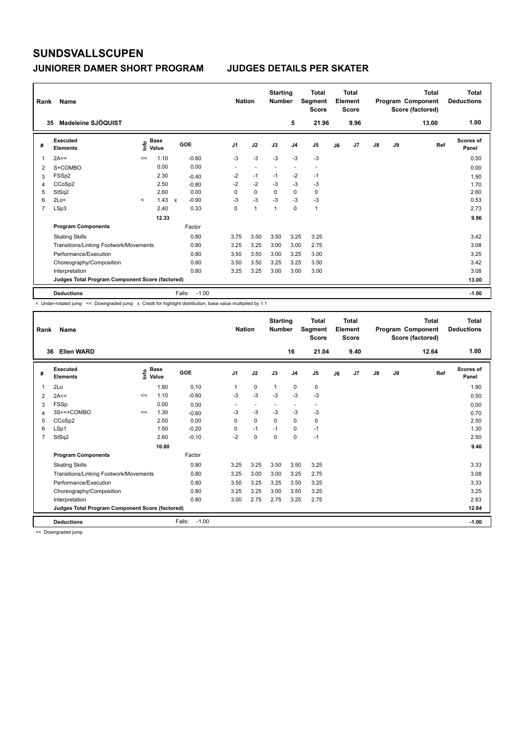| Rank | Name                                            |         |                      |                                      |         | <b>Nation</b>  |                | <b>Starting</b><br><b>Number</b> |                | <b>Total</b><br>Segment<br><b>Score</b> |    | Total<br>Element<br><b>Score</b> |               |    | <b>Total</b><br>Program Component<br>Score (factored) | Total<br><b>Deductions</b> |
|------|-------------------------------------------------|---------|----------------------|--------------------------------------|---------|----------------|----------------|----------------------------------|----------------|-----------------------------------------|----|----------------------------------|---------------|----|-------------------------------------------------------|----------------------------|
|      | Madeleine SJÖQUIST<br>35                        |         |                      |                                      |         |                |                |                                  | 5              | 21.96                                   |    | 9.96                             |               |    | 13.00                                                 | 1.00                       |
| #    | Executed<br><b>Elements</b>                     | lnfo    | <b>Base</b><br>Value | GOE                                  |         | J <sub>1</sub> | J2             | J3                               | J <sub>4</sub> | J <sub>5</sub>                          | J6 | J7                               | $\mathsf{J}8$ | J9 | Ref                                                   | Scores of<br>Panel         |
| 1    | 2A<<                                            | <<      | 1.10                 | $-0.60$                              |         | $-3$           | $-3$           | $-3$                             | $-3$           | $-3$                                    |    |                                  |               |    |                                                       | 0.50                       |
| 2    | S+COMBO                                         |         | 0.00                 | 0.00                                 |         | ٠              | ÷              | $\overline{\phantom{a}}$         | ٠              | $\overline{\phantom{a}}$                |    |                                  |               |    |                                                       | 0.00                       |
| 3    | FSSp2                                           |         | 2.30                 | $-0.40$                              |         | $-2$           | $-1$           | $-1$                             | $-2$           | $-1$                                    |    |                                  |               |    |                                                       | 1.90                       |
| 4    | CCoSp2                                          |         | 2.50                 | $-0.80$                              |         | $-2$           | $-2$           | -3                               | $-3$           | $-3$                                    |    |                                  |               |    |                                                       | 1.70                       |
| 5    | StSq2                                           |         | 2.60                 | 0.00                                 |         | 0              | $\mathbf 0$    | $\mathbf 0$                      | $\mathbf 0$    | 0                                       |    |                                  |               |    |                                                       | 2.60                       |
| 6    | 2Lo<                                            | $\prec$ | 1.43                 | $-0.90$<br>$\boldsymbol{\mathsf{x}}$ |         | $-3$           | $-3$           | $-3$                             | $-3$           | $-3$                                    |    |                                  |               |    |                                                       | 0.53                       |
| 7    | LSp3                                            |         | 2.40                 | 0.33                                 |         | 0              | $\overline{1}$ | $\overline{1}$                   | 0              | $\mathbf{1}$                            |    |                                  |               |    |                                                       | 2.73                       |
|      |                                                 |         | 12.33                |                                      |         |                |                |                                  |                |                                         |    |                                  |               |    |                                                       | 9.96                       |
|      | <b>Program Components</b>                       |         |                      | Factor                               |         |                |                |                                  |                |                                         |    |                                  |               |    |                                                       |                            |
|      | <b>Skating Skills</b>                           |         |                      | 0.80                                 |         | 3.75           | 3.50           | 3.50                             | 3.25           | 3.25                                    |    |                                  |               |    |                                                       | 3.42                       |
|      | Transitions/Linking Footwork/Movements          |         |                      | 0.80                                 |         | 3.25           | 3.25           | 3.00                             | 3.00           | 2.75                                    |    |                                  |               |    |                                                       | 3.08                       |
|      | Performance/Execution                           |         |                      | 0.80                                 |         | 3.50           | 3.50           | 3.00                             | 3.25           | 3.00                                    |    |                                  |               |    |                                                       | 3.25                       |
|      | Choreography/Composition                        |         |                      | 0.80                                 |         | 3.50           | 3.50           | 3.25                             | 3.25           | 3.50                                    |    |                                  |               |    |                                                       | 3.42                       |
|      | Interpretation                                  |         |                      | 0.80                                 |         | 3.25           | 3.25           | 3.00                             | 3.00           | 3.00                                    |    |                                  |               |    |                                                       | 3.08                       |
|      | Judges Total Program Component Score (factored) |         |                      |                                      |         |                |                |                                  |                |                                         |    |                                  |               |    |                                                       | 13.00                      |
|      | <b>Deductions</b>                               |         |                      | Falls:                               | $-1.00$ |                |                |                                  |                |                                         |    |                                  |               |    |                                                       | $-1.00$                    |

-<br>< Under-rotated jump << Downgraded jump x Credit for highlight distribution, base value multiplied by 1.1

| Rank           | Name                                            |    | <b>Nation</b>                    |                   | <b>Starting</b><br><b>Number</b> |                          | <b>Total</b><br>Segment<br><b>Score</b> |                          | <b>Total</b><br>Element<br><b>Score</b> |    |      | Total<br>Program Component<br>Score (factored) | <b>Total</b><br><b>Deductions</b> |       |                           |
|----------------|-------------------------------------------------|----|----------------------------------|-------------------|----------------------------------|--------------------------|-----------------------------------------|--------------------------|-----------------------------------------|----|------|------------------------------------------------|-----------------------------------|-------|---------------------------|
| 36             | <b>Ellen WARD</b>                               |    |                                  |                   |                                  |                          |                                         | 16                       | 21.04                                   |    | 9.40 |                                                |                                   | 12.64 | 1.00                      |
| #              | Executed<br><b>Elements</b>                     |    | <b>Base</b><br>e Base<br>⊆ Value | GOE               | J <sub>1</sub>                   | J2                       | J3                                      | J <sub>4</sub>           | J <sub>5</sub>                          | J6 | J7   | J8                                             | J9                                | Ref   | <b>Scores of</b><br>Panel |
| 1              | 2Lo                                             |    | 1.80                             | 0.10              | 1                                | $\mathbf 0$              | $\mathbf{1}$                            | $\mathbf 0$              | $\mathbf 0$                             |    |      |                                                |                                   |       | 1.90                      |
| $\overline{2}$ | 2A<<                                            | << | 1.10                             | $-0.60$           | $-3$                             | $-3$                     | $-3$                                    | $-3$                     | $-3$                                    |    |      |                                                |                                   |       | 0.50                      |
| 3              | <b>FSSp</b>                                     |    | 0.00                             | 0.00              | ٠                                | $\overline{\phantom{a}}$ | $\overline{\phantom{a}}$                | $\overline{\phantom{a}}$ | $\overline{\phantom{a}}$                |    |      |                                                |                                   |       | 0.00                      |
| 4              | 3S<<+COMBO                                      | << | 1.30                             | $-0.60$           | $-3$                             | $-3$                     | $-3$                                    | $-3$                     | $-3$                                    |    |      |                                                |                                   |       | 0.70                      |
| 5              | CCoSp2                                          |    | 2.50                             | 0.00              | 0                                | $\mathbf 0$              | 0                                       | $\mathbf 0$              | 0                                       |    |      |                                                |                                   |       | 2.50                      |
| 6              | LSp1                                            |    | 1.50                             | $-0.20$           | 0                                | $-1$                     | $-1$                                    | 0                        | $-1$                                    |    |      |                                                |                                   |       | 1.30                      |
| 7              | StSq2                                           |    | 2.60                             | $-0.10$           | $-2$                             | $\mathbf 0$              | $\Omega$                                | $\mathbf 0$              | $-1$                                    |    |      |                                                |                                   |       | 2.50                      |
|                |                                                 |    | 10.80                            |                   |                                  |                          |                                         |                          |                                         |    |      |                                                |                                   |       | 9.40                      |
|                | <b>Program Components</b>                       |    |                                  | Factor            |                                  |                          |                                         |                          |                                         |    |      |                                                |                                   |       |                           |
|                | <b>Skating Skills</b>                           |    |                                  | 0.80              | 3.25                             | 3.25                     | 3.50                                    | 3.50                     | 3.25                                    |    |      |                                                |                                   |       | 3.33                      |
|                | Transitions/Linking Footwork/Movements          |    |                                  | 0.80              | 3.25                             | 3.00                     | 3.00                                    | 3.25                     | 2.75                                    |    |      |                                                |                                   |       | 3.08                      |
|                | Performance/Execution                           |    |                                  | 0.80              | 3.50                             | 3.25                     | 3.25                                    | 3.50                     | 3.25                                    |    |      |                                                |                                   |       | 3.33                      |
|                | Choreography/Composition                        |    |                                  | 0.80              | 3.25                             | 3.25                     | 3.00                                    | 3.50                     | 3.25                                    |    |      |                                                |                                   |       | 3.25                      |
|                | Interpretation                                  |    |                                  | 0.80              | 3.00                             | 2.75                     | 2.75                                    | 3.25                     | 2.75                                    |    |      |                                                |                                   |       | 2.83                      |
|                | Judges Total Program Component Score (factored) |    |                                  |                   |                                  |                          |                                         |                          |                                         |    |      |                                                |                                   |       | 12.64                     |
|                | <b>Deductions</b>                               |    |                                  | $-1.00$<br>Falls: |                                  |                          |                                         |                          |                                         |    |      |                                                |                                   |       | $-1.00$                   |